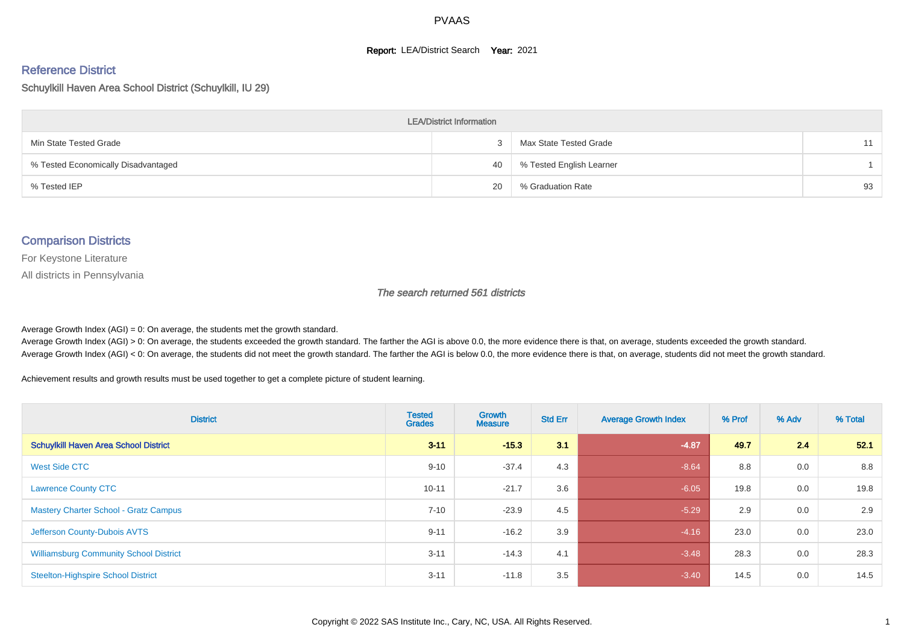#### **Report: LEA/District Search Year: 2021**

# Reference District

#### Schuylkill Haven Area School District (Schuylkill, IU 29)

| <b>LEA/District Information</b>     |    |                          |    |  |  |  |  |  |  |  |
|-------------------------------------|----|--------------------------|----|--|--|--|--|--|--|--|
| Min State Tested Grade              |    | Max State Tested Grade   | 11 |  |  |  |  |  |  |  |
| % Tested Economically Disadvantaged | 40 | % Tested English Learner |    |  |  |  |  |  |  |  |
| % Tested IEP                        | 20 | % Graduation Rate        | 93 |  |  |  |  |  |  |  |

#### Comparison Districts

For Keystone Literature

All districts in Pennsylvania

The search returned 561 districts

Average Growth Index  $(AGI) = 0$ : On average, the students met the growth standard.

Average Growth Index (AGI) > 0: On average, the students exceeded the growth standard. The farther the AGI is above 0.0, the more evidence there is that, on average, students exceeded the growth standard. Average Growth Index (AGI) < 0: On average, the students did not meet the growth standard. The farther the AGI is below 0.0, the more evidence there is that, on average, students did not meet the growth standard.

Achievement results and growth results must be used together to get a complete picture of student learning.

| <b>District</b>                               | <b>Tested</b><br><b>Grades</b> | Growth<br><b>Measure</b> | <b>Std Err</b> | <b>Average Growth Index</b> | % Prof | % Adv | % Total |
|-----------------------------------------------|--------------------------------|--------------------------|----------------|-----------------------------|--------|-------|---------|
| <b>Schuylkill Haven Area School District</b>  | $3 - 11$                       | $-15.3$                  | 3.1            | $-4.87$                     | 49.7   | 2.4   | 52.1    |
| West Side CTC                                 | $9 - 10$                       | $-37.4$                  | 4.3            | $-8.64$                     | 8.8    | 0.0   | 8.8     |
| <b>Lawrence County CTC</b>                    | $10 - 11$                      | $-21.7$                  | 3.6            | $-6.05$                     | 19.8   | 0.0   | 19.8    |
| <b>Mastery Charter School - Gratz Campus</b>  | $7 - 10$                       | $-23.9$                  | 4.5            | $-5.29$                     | 2.9    | 0.0   | 2.9     |
| Jefferson County-Dubois AVTS                  | $9 - 11$                       | $-16.2$                  | 3.9            | $-4.16$                     | 23.0   | 0.0   | 23.0    |
| <b>Williamsburg Community School District</b> | $3 - 11$                       | $-14.3$                  | 4.1            | $-3.48$                     | 28.3   | 0.0   | 28.3    |
| <b>Steelton-Highspire School District</b>     | $3 - 11$                       | $-11.8$                  | 3.5            | $-3.40$                     | 14.5   | 0.0   | 14.5    |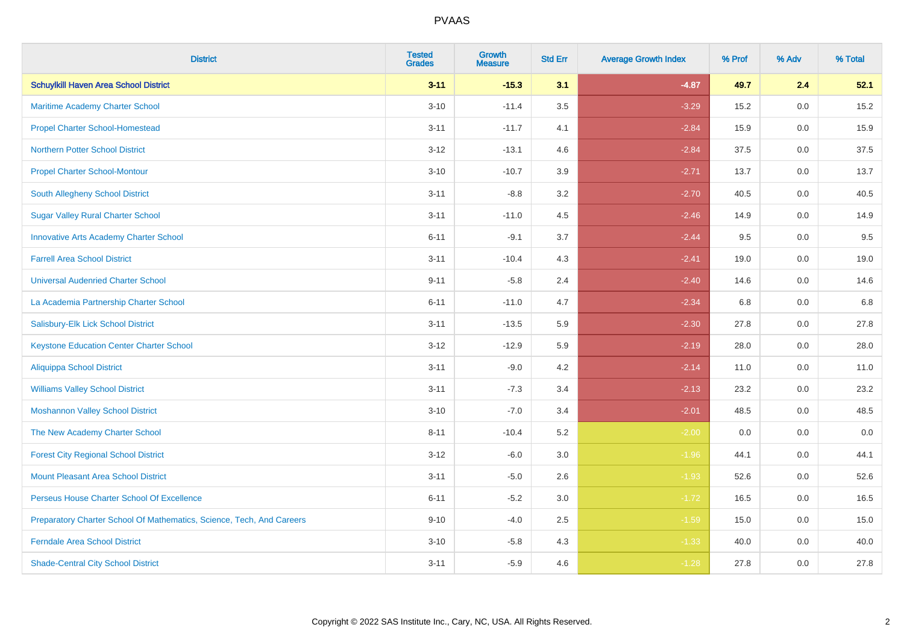| <b>District</b>                                                       | <b>Tested</b><br><b>Grades</b> | <b>Growth</b><br><b>Measure</b> | <b>Std Err</b> | <b>Average Growth Index</b> | % Prof | % Adv   | % Total |
|-----------------------------------------------------------------------|--------------------------------|---------------------------------|----------------|-----------------------------|--------|---------|---------|
| <b>Schuylkill Haven Area School District</b>                          | $3 - 11$                       | $-15.3$                         | 3.1            | $-4.87$                     | 49.7   | 2.4     | 52.1    |
| Maritime Academy Charter School                                       | $3 - 10$                       | $-11.4$                         | $3.5\,$        | $-3.29$                     | 15.2   | 0.0     | 15.2    |
| <b>Propel Charter School-Homestead</b>                                | $3 - 11$                       | $-11.7$                         | 4.1            | $-2.84$                     | 15.9   | 0.0     | 15.9    |
| <b>Northern Potter School District</b>                                | $3 - 12$                       | $-13.1$                         | 4.6            | $-2.84$                     | 37.5   | 0.0     | 37.5    |
| <b>Propel Charter School-Montour</b>                                  | $3 - 10$                       | $-10.7$                         | 3.9            | $-2.71$                     | 13.7   | 0.0     | 13.7    |
| South Allegheny School District                                       | $3 - 11$                       | $-8.8$                          | 3.2            | $-2.70$                     | 40.5   | 0.0     | 40.5    |
| <b>Sugar Valley Rural Charter School</b>                              | $3 - 11$                       | $-11.0$                         | 4.5            | $-2.46$                     | 14.9   | 0.0     | 14.9    |
| <b>Innovative Arts Academy Charter School</b>                         | $6 - 11$                       | $-9.1$                          | 3.7            | $-2.44$                     | 9.5    | 0.0     | 9.5     |
| <b>Farrell Area School District</b>                                   | $3 - 11$                       | $-10.4$                         | 4.3            | $-2.41$                     | 19.0   | 0.0     | 19.0    |
| <b>Universal Audenried Charter School</b>                             | $9 - 11$                       | $-5.8$                          | 2.4            | $-2.40$                     | 14.6   | 0.0     | 14.6    |
| La Academia Partnership Charter School                                | $6 - 11$                       | $-11.0$                         | 4.7            | $-2.34$                     | 6.8    | 0.0     | 6.8     |
| Salisbury-Elk Lick School District                                    | $3 - 11$                       | $-13.5$                         | 5.9            | $-2.30$                     | 27.8   | 0.0     | 27.8    |
| <b>Keystone Education Center Charter School</b>                       | $3-12$                         | $-12.9$                         | 5.9            | $-2.19$                     | 28.0   | 0.0     | 28.0    |
| <b>Aliquippa School District</b>                                      | $3 - 11$                       | $-9.0$                          | 4.2            | $-2.14$                     | 11.0   | 0.0     | 11.0    |
| <b>Williams Valley School District</b>                                | $3 - 11$                       | $-7.3$                          | 3.4            | $-2.13$                     | 23.2   | 0.0     | 23.2    |
| <b>Moshannon Valley School District</b>                               | $3 - 10$                       | $-7.0$                          | 3.4            | $-2.01$                     | 48.5   | $0.0\,$ | 48.5    |
| The New Academy Charter School                                        | $8 - 11$                       | $-10.4$                         | 5.2            | $-2.00$                     | 0.0    | 0.0     | 0.0     |
| <b>Forest City Regional School District</b>                           | $3 - 12$                       | $-6.0$                          | 3.0            | $-1.96$                     | 44.1   | 0.0     | 44.1    |
| <b>Mount Pleasant Area School District</b>                            | $3 - 11$                       | $-5.0$                          | 2.6            | $-1.93$                     | 52.6   | 0.0     | 52.6    |
| Perseus House Charter School Of Excellence                            | $6 - 11$                       | $-5.2$                          | 3.0            | $-1.72$                     | 16.5   | 0.0     | 16.5    |
| Preparatory Charter School Of Mathematics, Science, Tech, And Careers | $9 - 10$                       | $-4.0$                          | 2.5            | $-1.59$                     | 15.0   | 0.0     | 15.0    |
| <b>Ferndale Area School District</b>                                  | $3 - 10$                       | $-5.8$                          | 4.3            | $-1.33$                     | 40.0   | 0.0     | 40.0    |
| <b>Shade-Central City School District</b>                             | $3 - 11$                       | $-5.9$                          | 4.6            | $-1.28$                     | 27.8   | 0.0     | 27.8    |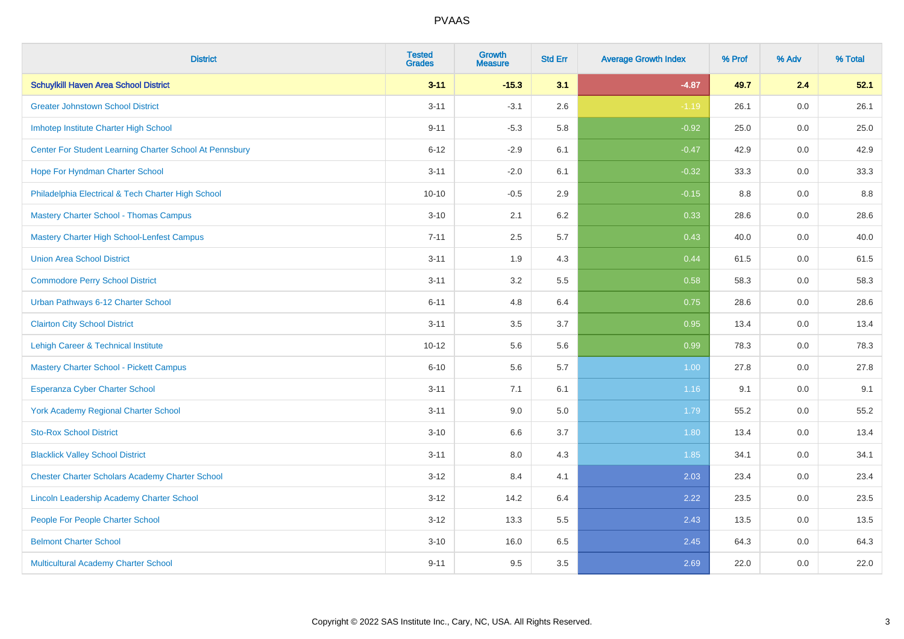| <b>District</b>                                         | <b>Tested</b><br><b>Grades</b> | <b>Growth</b><br><b>Measure</b> | <b>Std Err</b> | <b>Average Growth Index</b> | % Prof | % Adv   | % Total |
|---------------------------------------------------------|--------------------------------|---------------------------------|----------------|-----------------------------|--------|---------|---------|
| <b>Schuylkill Haven Area School District</b>            | $3 - 11$                       | $-15.3$                         | 3.1            | $-4.87$                     | 49.7   | 2.4     | 52.1    |
| <b>Greater Johnstown School District</b>                | $3 - 11$                       | $-3.1$                          | 2.6            | $-1.19$                     | 26.1   | $0.0\,$ | 26.1    |
| Imhotep Institute Charter High School                   | $9 - 11$                       | $-5.3$                          | 5.8            | $-0.92$                     | 25.0   | 0.0     | 25.0    |
| Center For Student Learning Charter School At Pennsbury | $6 - 12$                       | $-2.9$                          | 6.1            | $-0.47$                     | 42.9   | 0.0     | 42.9    |
| Hope For Hyndman Charter School                         | $3 - 11$                       | $-2.0$                          | 6.1            | $-0.32$                     | 33.3   | 0.0     | 33.3    |
| Philadelphia Electrical & Tech Charter High School      | $10 - 10$                      | $-0.5$                          | 2.9            | $-0.15$                     | 8.8    | 0.0     | 8.8     |
| <b>Mastery Charter School - Thomas Campus</b>           | $3 - 10$                       | 2.1                             | 6.2            | 0.33                        | 28.6   | 0.0     | 28.6    |
| <b>Mastery Charter High School-Lenfest Campus</b>       | $7 - 11$                       | 2.5                             | 5.7            | 0.43                        | 40.0   | 0.0     | 40.0    |
| <b>Union Area School District</b>                       | $3 - 11$                       | 1.9                             | 4.3            | 0.44                        | 61.5   | 0.0     | 61.5    |
| <b>Commodore Perry School District</b>                  | $3 - 11$                       | 3.2                             | 5.5            | 0.58                        | 58.3   | 0.0     | 58.3    |
| Urban Pathways 6-12 Charter School                      | $6 - 11$                       | 4.8                             | 6.4            | 0.75                        | 28.6   | 0.0     | 28.6    |
| <b>Clairton City School District</b>                    | $3 - 11$                       | 3.5                             | 3.7            | 0.95                        | 13.4   | 0.0     | 13.4    |
| Lehigh Career & Technical Institute                     | $10 - 12$                      | 5.6                             | 5.6            | 0.99                        | 78.3   | 0.0     | 78.3    |
| <b>Mastery Charter School - Pickett Campus</b>          | $6 - 10$                       | 5.6                             | 5.7            | 1.00                        | 27.8   | 0.0     | 27.8    |
| <b>Esperanza Cyber Charter School</b>                   | $3 - 11$                       | 7.1                             | 6.1            | 1.16                        | 9.1    | 0.0     | 9.1     |
| <b>York Academy Regional Charter School</b>             | $3 - 11$                       | 9.0                             | 5.0            | 1.79                        | 55.2   | $0.0\,$ | 55.2    |
| <b>Sto-Rox School District</b>                          | $3 - 10$                       | 6.6                             | 3.7            | 1.80                        | 13.4   | 0.0     | 13.4    |
| <b>Blacklick Valley School District</b>                 | $3 - 11$                       | 8.0                             | 4.3            | 1.85                        | 34.1   | 0.0     | 34.1    |
| <b>Chester Charter Scholars Academy Charter School</b>  | $3 - 12$                       | 8.4                             | 4.1            | 2.03                        | 23.4   | 0.0     | 23.4    |
| Lincoln Leadership Academy Charter School               | $3 - 12$                       | 14.2                            | 6.4            | 2.22                        | 23.5   | 0.0     | 23.5    |
| People For People Charter School                        | $3 - 12$                       | 13.3                            | 5.5            | 2.43                        | 13.5   | 0.0     | 13.5    |
| <b>Belmont Charter School</b>                           | $3 - 10$                       | 16.0                            | 6.5            | 2.45                        | 64.3   | 0.0     | 64.3    |
| Multicultural Academy Charter School                    | $9 - 11$                       | 9.5                             | 3.5            | 2.69                        | 22.0   | 0.0     | 22.0    |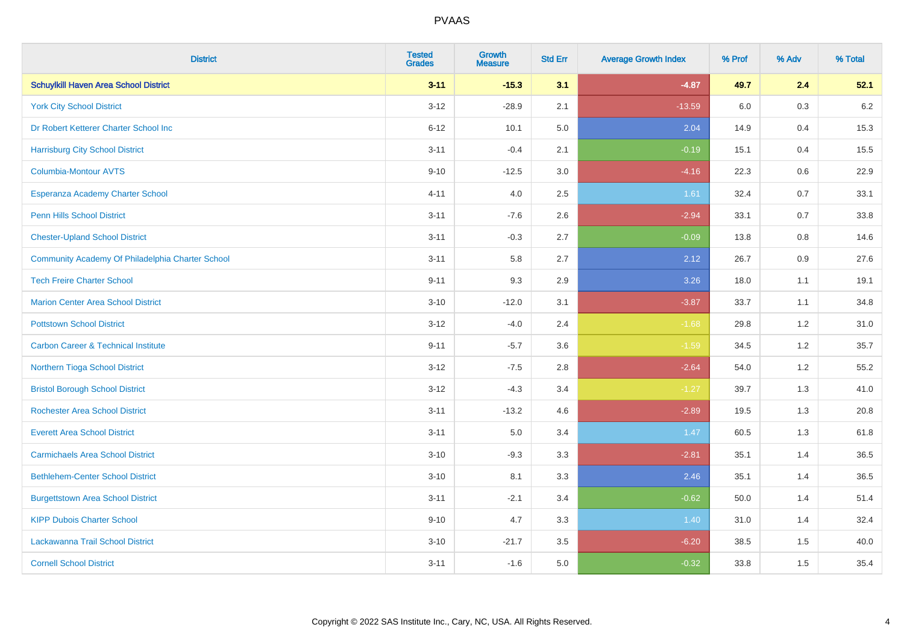| <b>District</b>                                  | <b>Tested</b><br><b>Grades</b> | <b>Growth</b><br><b>Measure</b> | <b>Std Err</b> | <b>Average Growth Index</b> | % Prof | % Adv   | % Total |
|--------------------------------------------------|--------------------------------|---------------------------------|----------------|-----------------------------|--------|---------|---------|
| <b>Schuylkill Haven Area School District</b>     | $3 - 11$                       | $-15.3$                         | 3.1            | $-4.87$                     | 49.7   | 2.4     | 52.1    |
| <b>York City School District</b>                 | $3 - 12$                       | $-28.9$                         | 2.1            | $-13.59$                    | 6.0    | $0.3\,$ | $6.2\,$ |
| Dr Robert Ketterer Charter School Inc            | $6 - 12$                       | 10.1                            | 5.0            | 2.04                        | 14.9   | 0.4     | 15.3    |
| <b>Harrisburg City School District</b>           | $3 - 11$                       | $-0.4$                          | 2.1            | $-0.19$                     | 15.1   | 0.4     | 15.5    |
| Columbia-Montour AVTS                            | $9 - 10$                       | $-12.5$                         | 3.0            | $-4.16$                     | 22.3   | 0.6     | 22.9    |
| Esperanza Academy Charter School                 | $4 - 11$                       | 4.0                             | 2.5            | 1.61                        | 32.4   | 0.7     | 33.1    |
| <b>Penn Hills School District</b>                | $3 - 11$                       | $-7.6$                          | 2.6            | $-2.94$                     | 33.1   | 0.7     | 33.8    |
| <b>Chester-Upland School District</b>            | $3 - 11$                       | $-0.3$                          | 2.7            | $-0.09$                     | 13.8   | 0.8     | 14.6    |
| Community Academy Of Philadelphia Charter School | $3 - 11$                       | 5.8                             | 2.7            | 2.12                        | 26.7   | 0.9     | 27.6    |
| <b>Tech Freire Charter School</b>                | $9 - 11$                       | 9.3                             | 2.9            | 3.26                        | 18.0   | 1.1     | 19.1    |
| <b>Marion Center Area School District</b>        | $3 - 10$                       | $-12.0$                         | 3.1            | $-3.87$                     | 33.7   | 1.1     | 34.8    |
| <b>Pottstown School District</b>                 | $3 - 12$                       | $-4.0$                          | 2.4            | $-1.68$                     | 29.8   | 1.2     | 31.0    |
| <b>Carbon Career &amp; Technical Institute</b>   | $9 - 11$                       | $-5.7$                          | 3.6            | $-1.59$                     | 34.5   | 1.2     | 35.7    |
| Northern Tioga School District                   | $3 - 12$                       | $-7.5$                          | 2.8            | $-2.64$                     | 54.0   | 1.2     | 55.2    |
| <b>Bristol Borough School District</b>           | $3 - 12$                       | $-4.3$                          | 3.4            | $-1.27$                     | 39.7   | 1.3     | 41.0    |
| <b>Rochester Area School District</b>            | $3 - 11$                       | $-13.2$                         | 4.6            | $-2.89$                     | 19.5   | 1.3     | 20.8    |
| <b>Everett Area School District</b>              | $3 - 11$                       | 5.0                             | 3.4            | 1.47                        | 60.5   | 1.3     | 61.8    |
| <b>Carmichaels Area School District</b>          | $3 - 10$                       | $-9.3$                          | 3.3            | $-2.81$                     | 35.1   | 1.4     | 36.5    |
| <b>Bethlehem-Center School District</b>          | $3 - 10$                       | 8.1                             | 3.3            | 2.46                        | 35.1   | 1.4     | 36.5    |
| <b>Burgettstown Area School District</b>         | $3 - 11$                       | $-2.1$                          | 3.4            | $-0.62$                     | 50.0   | 1.4     | 51.4    |
| <b>KIPP Dubois Charter School</b>                | $9 - 10$                       | 4.7                             | 3.3            | 1.40                        | 31.0   | 1.4     | 32.4    |
| Lackawanna Trail School District                 | $3 - 10$                       | $-21.7$                         | 3.5            | $-6.20$                     | 38.5   | 1.5     | 40.0    |
| <b>Cornell School District</b>                   | $3 - 11$                       | $-1.6$                          | 5.0            | $-0.32$                     | 33.8   | 1.5     | 35.4    |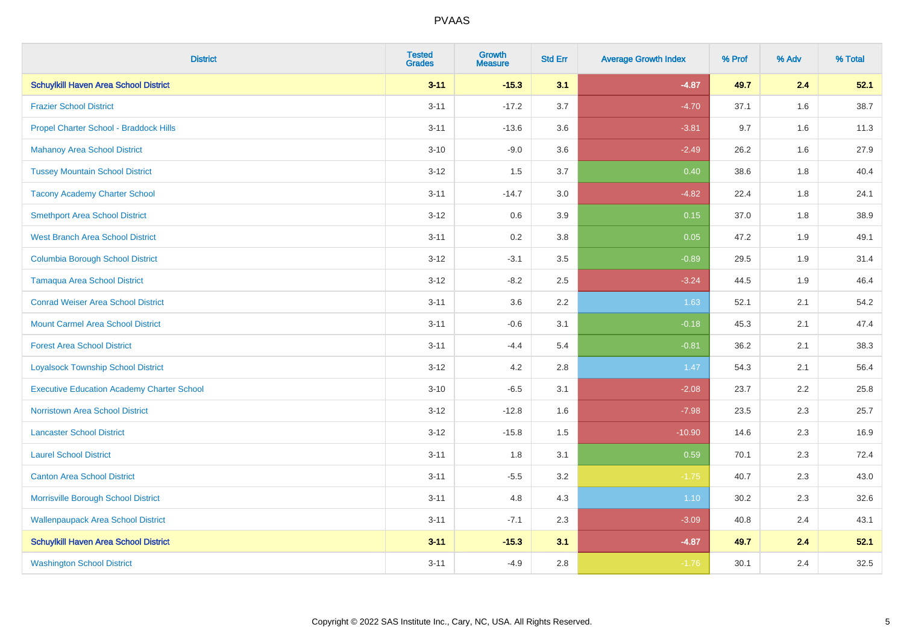| <b>District</b>                                   | <b>Tested</b><br><b>Grades</b> | <b>Growth</b><br><b>Measure</b> | <b>Std Err</b> | <b>Average Growth Index</b> | % Prof | % Adv | % Total |
|---------------------------------------------------|--------------------------------|---------------------------------|----------------|-----------------------------|--------|-------|---------|
| <b>Schuylkill Haven Area School District</b>      | $3 - 11$                       | $-15.3$                         | 3.1            | $-4.87$                     | 49.7   | 2.4   | 52.1    |
| <b>Frazier School District</b>                    | $3 - 11$                       | $-17.2$                         | 3.7            | $-4.70$                     | 37.1   | 1.6   | 38.7    |
| Propel Charter School - Braddock Hills            | $3 - 11$                       | $-13.6$                         | 3.6            | $-3.81$                     | 9.7    | 1.6   | 11.3    |
| <b>Mahanoy Area School District</b>               | $3 - 10$                       | $-9.0$                          | 3.6            | $-2.49$                     | 26.2   | 1.6   | 27.9    |
| <b>Tussey Mountain School District</b>            | $3 - 12$                       | 1.5                             | 3.7            | 0.40                        | 38.6   | 1.8   | 40.4    |
| <b>Tacony Academy Charter School</b>              | $3 - 11$                       | $-14.7$                         | 3.0            | $-4.82$                     | 22.4   | 1.8   | 24.1    |
| <b>Smethport Area School District</b>             | $3 - 12$                       | 0.6                             | 3.9            | 0.15                        | 37.0   | 1.8   | 38.9    |
| <b>West Branch Area School District</b>           | $3 - 11$                       | 0.2                             | 3.8            | 0.05                        | 47.2   | 1.9   | 49.1    |
| <b>Columbia Borough School District</b>           | $3 - 12$                       | $-3.1$                          | 3.5            | $-0.89$                     | 29.5   | 1.9   | 31.4    |
| <b>Tamaqua Area School District</b>               | $3 - 12$                       | $-8.2$                          | 2.5            | $-3.24$                     | 44.5   | 1.9   | 46.4    |
| <b>Conrad Weiser Area School District</b>         | $3 - 11$                       | 3.6                             | 2.2            | 1.63                        | 52.1   | 2.1   | 54.2    |
| <b>Mount Carmel Area School District</b>          | $3 - 11$                       | $-0.6$                          | 3.1            | $-0.18$                     | 45.3   | 2.1   | 47.4    |
| <b>Forest Area School District</b>                | $3 - 11$                       | $-4.4$                          | 5.4            | $-0.81$                     | 36.2   | 2.1   | 38.3    |
| <b>Loyalsock Township School District</b>         | $3 - 12$                       | 4.2                             | 2.8            | 1.47                        | 54.3   | 2.1   | 56.4    |
| <b>Executive Education Academy Charter School</b> | $3 - 10$                       | $-6.5$                          | 3.1            | $-2.08$                     | 23.7   | 2.2   | 25.8    |
| <b>Norristown Area School District</b>            | $3 - 12$                       | $-12.8$                         | 1.6            | $-7.98$                     | 23.5   | 2.3   | 25.7    |
| <b>Lancaster School District</b>                  | $3 - 12$                       | $-15.8$                         | 1.5            | $-10.90$                    | 14.6   | 2.3   | 16.9    |
| <b>Laurel School District</b>                     | $3 - 11$                       | 1.8                             | 3.1            | 0.59                        | 70.1   | 2.3   | 72.4    |
| <b>Canton Area School District</b>                | $3 - 11$                       | $-5.5$                          | 3.2            | $-1.75$                     | 40.7   | 2.3   | 43.0    |
| Morrisville Borough School District               | $3 - 11$                       | 4.8                             | 4.3            | 1.10                        | 30.2   | 2.3   | 32.6    |
| <b>Wallenpaupack Area School District</b>         | $3 - 11$                       | $-7.1$                          | 2.3            | $-3.09$                     | 40.8   | 2.4   | 43.1    |
| <b>Schuylkill Haven Area School District</b>      | $3 - 11$                       | $-15.3$                         | 3.1            | $-4.87$                     | 49.7   | 2.4   | 52.1    |
| <b>Washington School District</b>                 | $3 - 11$                       | $-4.9$                          | 2.8            | $-1.76$                     | 30.1   | 2.4   | 32.5    |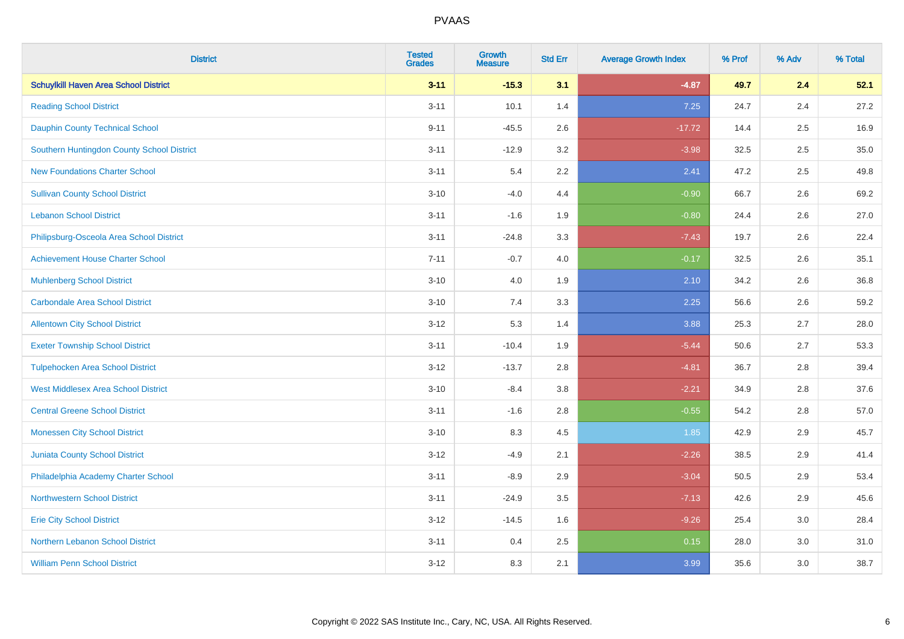| <b>District</b>                              | <b>Tested</b><br><b>Grades</b> | <b>Growth</b><br><b>Measure</b> | <b>Std Err</b> | <b>Average Growth Index</b> | % Prof | % Adv   | % Total |
|----------------------------------------------|--------------------------------|---------------------------------|----------------|-----------------------------|--------|---------|---------|
| <b>Schuylkill Haven Area School District</b> | $3 - 11$                       | $-15.3$                         | 3.1            | $-4.87$                     | 49.7   | 2.4     | 52.1    |
| <b>Reading School District</b>               | $3 - 11$                       | 10.1                            | 1.4            | 7.25                        | 24.7   | 2.4     | 27.2    |
| <b>Dauphin County Technical School</b>       | $9 - 11$                       | $-45.5$                         | 2.6            | $-17.72$                    | 14.4   | 2.5     | 16.9    |
| Southern Huntingdon County School District   | $3 - 11$                       | $-12.9$                         | 3.2            | $-3.98$                     | 32.5   | 2.5     | 35.0    |
| <b>New Foundations Charter School</b>        | $3 - 11$                       | 5.4                             | 2.2            | 2.41                        | 47.2   | 2.5     | 49.8    |
| <b>Sullivan County School District</b>       | $3 - 10$                       | $-4.0$                          | 4.4            | $-0.90$                     | 66.7   | 2.6     | 69.2    |
| <b>Lebanon School District</b>               | $3 - 11$                       | $-1.6$                          | 1.9            | $-0.80$                     | 24.4   | 2.6     | 27.0    |
| Philipsburg-Osceola Area School District     | $3 - 11$                       | $-24.8$                         | 3.3            | $-7.43$                     | 19.7   | 2.6     | 22.4    |
| <b>Achievement House Charter School</b>      | $7 - 11$                       | $-0.7$                          | 4.0            | $-0.17$                     | 32.5   | 2.6     | 35.1    |
| <b>Muhlenberg School District</b>            | $3 - 10$                       | 4.0                             | 1.9            | 2.10                        | 34.2   | $2.6\,$ | 36.8    |
| <b>Carbondale Area School District</b>       | $3 - 10$                       | 7.4                             | 3.3            | 2.25                        | 56.6   | 2.6     | 59.2    |
| <b>Allentown City School District</b>        | $3 - 12$                       | 5.3                             | 1.4            | 3.88                        | 25.3   | 2.7     | 28.0    |
| <b>Exeter Township School District</b>       | $3 - 11$                       | $-10.4$                         | 1.9            | $-5.44$                     | 50.6   | 2.7     | 53.3    |
| <b>Tulpehocken Area School District</b>      | $3 - 12$                       | $-13.7$                         | 2.8            | $-4.81$                     | 36.7   | 2.8     | 39.4    |
| <b>West Middlesex Area School District</b>   | $3 - 10$                       | $-8.4$                          | 3.8            | $-2.21$                     | 34.9   | 2.8     | 37.6    |
| <b>Central Greene School District</b>        | $3 - 11$                       | $-1.6$                          | 2.8            | $-0.55$                     | 54.2   | 2.8     | 57.0    |
| <b>Monessen City School District</b>         | $3 - 10$                       | 8.3                             | 4.5            | 1.85                        | 42.9   | 2.9     | 45.7    |
| Juniata County School District               | $3 - 12$                       | $-4.9$                          | 2.1            | $-2.26$                     | 38.5   | 2.9     | 41.4    |
| Philadelphia Academy Charter School          | $3 - 11$                       | $-8.9$                          | 2.9            | $-3.04$                     | 50.5   | 2.9     | 53.4    |
| <b>Northwestern School District</b>          | $3 - 11$                       | $-24.9$                         | 3.5            | $-7.13$                     | 42.6   | 2.9     | 45.6    |
| <b>Erie City School District</b>             | $3 - 12$                       | $-14.5$                         | 1.6            | $-9.26$                     | 25.4   | 3.0     | 28.4    |
| Northern Lebanon School District             | $3 - 11$                       | 0.4                             | 2.5            | 0.15                        | 28.0   | 3.0     | 31.0    |
| <b>William Penn School District</b>          | $3 - 12$                       | 8.3                             | 2.1            | 3.99                        | 35.6   | 3.0     | 38.7    |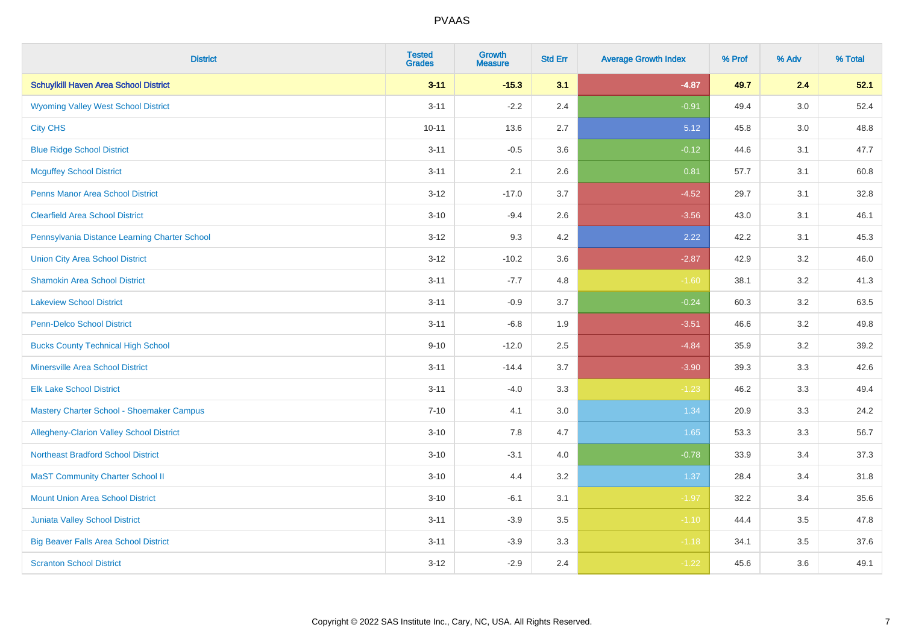| <b>District</b>                                 | <b>Tested</b><br><b>Grades</b> | <b>Growth</b><br><b>Measure</b> | <b>Std Err</b> | <b>Average Growth Index</b> | % Prof | % Adv   | % Total |
|-------------------------------------------------|--------------------------------|---------------------------------|----------------|-----------------------------|--------|---------|---------|
| <b>Schuylkill Haven Area School District</b>    | $3 - 11$                       | $-15.3$                         | 3.1            | $-4.87$                     | 49.7   | 2.4     | 52.1    |
| <b>Wyoming Valley West School District</b>      | $3 - 11$                       | $-2.2$                          | 2.4            | $-0.91$                     | 49.4   | $3.0\,$ | 52.4    |
| <b>City CHS</b>                                 | $10 - 11$                      | 13.6                            | 2.7            | 5.12                        | 45.8   | 3.0     | 48.8    |
| <b>Blue Ridge School District</b>               | $3 - 11$                       | $-0.5$                          | 3.6            | $-0.12$                     | 44.6   | 3.1     | 47.7    |
| <b>Mcguffey School District</b>                 | $3 - 11$                       | 2.1                             | 2.6            | 0.81                        | 57.7   | 3.1     | 60.8    |
| <b>Penns Manor Area School District</b>         | $3 - 12$                       | $-17.0$                         | 3.7            | $-4.52$                     | 29.7   | 3.1     | 32.8    |
| <b>Clearfield Area School District</b>          | $3 - 10$                       | $-9.4$                          | 2.6            | $-3.56$                     | 43.0   | 3.1     | 46.1    |
| Pennsylvania Distance Learning Charter School   | $3 - 12$                       | 9.3                             | 4.2            | 2.22                        | 42.2   | 3.1     | 45.3    |
| <b>Union City Area School District</b>          | $3 - 12$                       | $-10.2$                         | 3.6            | $-2.87$                     | 42.9   | 3.2     | 46.0    |
| <b>Shamokin Area School District</b>            | $3 - 11$                       | $-7.7$                          | 4.8            | $-1.60$                     | 38.1   | 3.2     | 41.3    |
| <b>Lakeview School District</b>                 | $3 - 11$                       | $-0.9$                          | 3.7            | $-0.24$                     | 60.3   | 3.2     | 63.5    |
| <b>Penn-Delco School District</b>               | $3 - 11$                       | $-6.8$                          | 1.9            | $-3.51$                     | 46.6   | 3.2     | 49.8    |
| <b>Bucks County Technical High School</b>       | $9 - 10$                       | $-12.0$                         | 2.5            | $-4.84$                     | 35.9   | 3.2     | 39.2    |
| <b>Minersville Area School District</b>         | $3 - 11$                       | $-14.4$                         | 3.7            | $-3.90$                     | 39.3   | 3.3     | 42.6    |
| <b>Elk Lake School District</b>                 | $3 - 11$                       | $-4.0$                          | 3.3            | $-1.23$                     | 46.2   | 3.3     | 49.4    |
| Mastery Charter School - Shoemaker Campus       | $7 - 10$                       | 4.1                             | 3.0            | 1.34                        | 20.9   | 3.3     | 24.2    |
| <b>Allegheny-Clarion Valley School District</b> | $3 - 10$                       | 7.8                             | 4.7            | 1.65                        | 53.3   | 3.3     | 56.7    |
| <b>Northeast Bradford School District</b>       | $3 - 10$                       | $-3.1$                          | 4.0            | $-0.78$                     | 33.9   | 3.4     | 37.3    |
| <b>MaST Community Charter School II</b>         | $3 - 10$                       | 4.4                             | 3.2            | 1.37                        | 28.4   | 3.4     | 31.8    |
| <b>Mount Union Area School District</b>         | $3 - 10$                       | $-6.1$                          | 3.1            | $-1.97$                     | 32.2   | 3.4     | 35.6    |
| <b>Juniata Valley School District</b>           | $3 - 11$                       | $-3.9$                          | 3.5            | $-1.10$                     | 44.4   | 3.5     | 47.8    |
| <b>Big Beaver Falls Area School District</b>    | $3 - 11$                       | $-3.9$                          | 3.3            | $-1.18$                     | 34.1   | 3.5     | 37.6    |
| <b>Scranton School District</b>                 | $3 - 12$                       | $-2.9$                          | 2.4            | $-1.22$                     | 45.6   | 3.6     | 49.1    |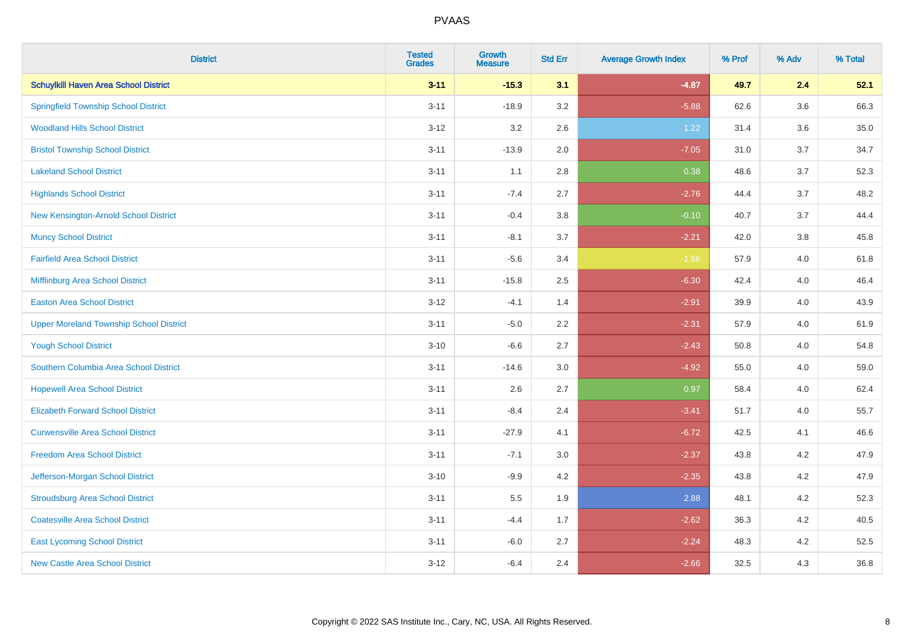| <b>District</b>                                | <b>Tested</b><br><b>Grades</b> | <b>Growth</b><br><b>Measure</b> | <b>Std Err</b> | <b>Average Growth Index</b> | % Prof | % Adv   | % Total |
|------------------------------------------------|--------------------------------|---------------------------------|----------------|-----------------------------|--------|---------|---------|
| <b>Schuylkill Haven Area School District</b>   | $3 - 11$                       | $-15.3$                         | 3.1            | $-4.87$                     | 49.7   | 2.4     | 52.1    |
| <b>Springfield Township School District</b>    | $3 - 11$                       | $-18.9$                         | 3.2            | $-5.88$                     | 62.6   | $3.6\,$ | 66.3    |
| <b>Woodland Hills School District</b>          | $3 - 12$                       | 3.2                             | 2.6            | 1.22                        | 31.4   | 3.6     | 35.0    |
| <b>Bristol Township School District</b>        | $3 - 11$                       | $-13.9$                         | 2.0            | $-7.05$                     | 31.0   | 3.7     | 34.7    |
| <b>Lakeland School District</b>                | $3 - 11$                       | 1.1                             | 2.8            | 0.38                        | 48.6   | 3.7     | 52.3    |
| <b>Highlands School District</b>               | $3 - 11$                       | $-7.4$                          | 2.7            | $-2.76$                     | 44.4   | 3.7     | 48.2    |
| New Kensington-Arnold School District          | $3 - 11$                       | $-0.4$                          | 3.8            | $-0.10$                     | 40.7   | 3.7     | 44.4    |
| <b>Muncy School District</b>                   | $3 - 11$                       | $-8.1$                          | 3.7            | $-2.21$                     | 42.0   | 3.8     | 45.8    |
| <b>Fairfield Area School District</b>          | $3 - 11$                       | $-5.6$                          | 3.4            | $-1.66$                     | 57.9   | 4.0     | 61.8    |
| Mifflinburg Area School District               | $3 - 11$                       | $-15.8$                         | 2.5            | $-6.30$                     | 42.4   | 4.0     | 46.4    |
| <b>Easton Area School District</b>             | $3 - 12$                       | $-4.1$                          | 1.4            | $-2.91$                     | 39.9   | 4.0     | 43.9    |
| <b>Upper Moreland Township School District</b> | $3 - 11$                       | $-5.0$                          | 2.2            | $-2.31$                     | 57.9   | 4.0     | 61.9    |
| <b>Yough School District</b>                   | $3 - 10$                       | $-6.6$                          | 2.7            | $-2.43$                     | 50.8   | 4.0     | 54.8    |
| Southern Columbia Area School District         | $3 - 11$                       | $-14.6$                         | 3.0            | $-4.92$                     | 55.0   | 4.0     | 59.0    |
| <b>Hopewell Area School District</b>           | $3 - 11$                       | 2.6                             | 2.7            | 0.97                        | 58.4   | 4.0     | 62.4    |
| <b>Elizabeth Forward School District</b>       | $3 - 11$                       | $-8.4$                          | 2.4            | $-3.41$                     | 51.7   | 4.0     | 55.7    |
| <b>Curwensville Area School District</b>       | $3 - 11$                       | $-27.9$                         | 4.1            | $-6.72$                     | 42.5   | 4.1     | 46.6    |
| <b>Freedom Area School District</b>            | $3 - 11$                       | $-7.1$                          | 3.0            | $-2.37$                     | 43.8   | 4.2     | 47.9    |
| Jefferson-Morgan School District               | $3 - 10$                       | $-9.9$                          | 4.2            | $-2.35$                     | 43.8   | 4.2     | 47.9    |
| <b>Stroudsburg Area School District</b>        | $3 - 11$                       | $5.5\,$                         | 1.9            | 2.88                        | 48.1   | 4.2     | 52.3    |
| <b>Coatesville Area School District</b>        | $3 - 11$                       | $-4.4$                          | 1.7            | $-2.62$                     | 36.3   | 4.2     | 40.5    |
| <b>East Lycoming School District</b>           | $3 - 11$                       | $-6.0$                          | 2.7            | $-2.24$                     | 48.3   | 4.2     | 52.5    |
| <b>New Castle Area School District</b>         | $3 - 12$                       | $-6.4$                          | 2.4            | $-2.66$                     | 32.5   | 4.3     | 36.8    |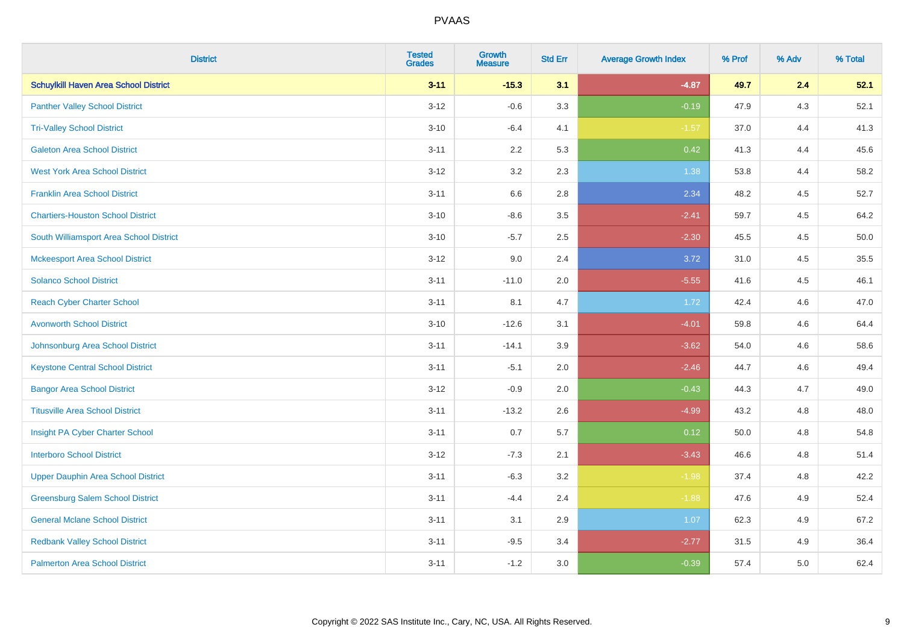| <b>District</b>                              | <b>Tested</b><br><b>Grades</b> | <b>Growth</b><br><b>Measure</b> | <b>Std Err</b> | <b>Average Growth Index</b> | % Prof | % Adv | % Total |
|----------------------------------------------|--------------------------------|---------------------------------|----------------|-----------------------------|--------|-------|---------|
| <b>Schuylkill Haven Area School District</b> | $3 - 11$                       | $-15.3$                         | 3.1            | $-4.87$                     | 49.7   | 2.4   | 52.1    |
| <b>Panther Valley School District</b>        | $3 - 12$                       | $-0.6$                          | 3.3            | $-0.19$                     | 47.9   | $4.3$ | 52.1    |
| <b>Tri-Valley School District</b>            | $3 - 10$                       | $-6.4$                          | 4.1            | $-1.57$                     | 37.0   | 4.4   | 41.3    |
| <b>Galeton Area School District</b>          | $3 - 11$                       | 2.2                             | 5.3            | 0.42                        | 41.3   | 4.4   | 45.6    |
| <b>West York Area School District</b>        | $3 - 12$                       | 3.2                             | 2.3            | 1.38                        | 53.8   | 4.4   | 58.2    |
| <b>Franklin Area School District</b>         | $3 - 11$                       | 6.6                             | 2.8            | 2.34                        | 48.2   | 4.5   | 52.7    |
| <b>Chartiers-Houston School District</b>     | $3 - 10$                       | $-8.6$                          | 3.5            | $-2.41$                     | 59.7   | 4.5   | 64.2    |
| South Williamsport Area School District      | $3 - 10$                       | $-5.7$                          | 2.5            | $-2.30$                     | 45.5   | 4.5   | 50.0    |
| <b>Mckeesport Area School District</b>       | $3 - 12$                       | 9.0                             | 2.4            | 3.72                        | 31.0   | 4.5   | 35.5    |
| <b>Solanco School District</b>               | $3 - 11$                       | $-11.0$                         | 2.0            | $-5.55$                     | 41.6   | 4.5   | 46.1    |
| <b>Reach Cyber Charter School</b>            | $3 - 11$                       | 8.1                             | 4.7            | 1.72                        | 42.4   | 4.6   | 47.0    |
| <b>Avonworth School District</b>             | $3 - 10$                       | $-12.6$                         | 3.1            | $-4.01$                     | 59.8   | 4.6   | 64.4    |
| Johnsonburg Area School District             | $3 - 11$                       | $-14.1$                         | 3.9            | $-3.62$                     | 54.0   | 4.6   | 58.6    |
| <b>Keystone Central School District</b>      | $3 - 11$                       | $-5.1$                          | 2.0            | $-2.46$                     | 44.7   | 4.6   | 49.4    |
| <b>Bangor Area School District</b>           | $3 - 12$                       | $-0.9$                          | 2.0            | $-0.43$                     | 44.3   | 4.7   | 49.0    |
| <b>Titusville Area School District</b>       | $3 - 11$                       | $-13.2$                         | 2.6            | $-4.99$                     | 43.2   | 4.8   | 48.0    |
| Insight PA Cyber Charter School              | $3 - 11$                       | 0.7                             | 5.7            | 0.12                        | 50.0   | 4.8   | 54.8    |
| <b>Interboro School District</b>             | $3 - 12$                       | $-7.3$                          | 2.1            | $-3.43$                     | 46.6   | 4.8   | 51.4    |
| <b>Upper Dauphin Area School District</b>    | $3 - 11$                       | $-6.3$                          | 3.2            | $-1.98$                     | 37.4   | 4.8   | 42.2    |
| <b>Greensburg Salem School District</b>      | $3 - 11$                       | $-4.4$                          | 2.4            | $-1.88$                     | 47.6   | 4.9   | 52.4    |
| <b>General Mclane School District</b>        | $3 - 11$                       | 3.1                             | 2.9            | 1.07                        | 62.3   | 4.9   | 67.2    |
| <b>Redbank Valley School District</b>        | $3 - 11$                       | $-9.5$                          | 3.4            | $-2.77$                     | 31.5   | 4.9   | 36.4    |
| <b>Palmerton Area School District</b>        | $3 - 11$                       | $-1.2$                          | 3.0            | $-0.39$                     | 57.4   | 5.0   | 62.4    |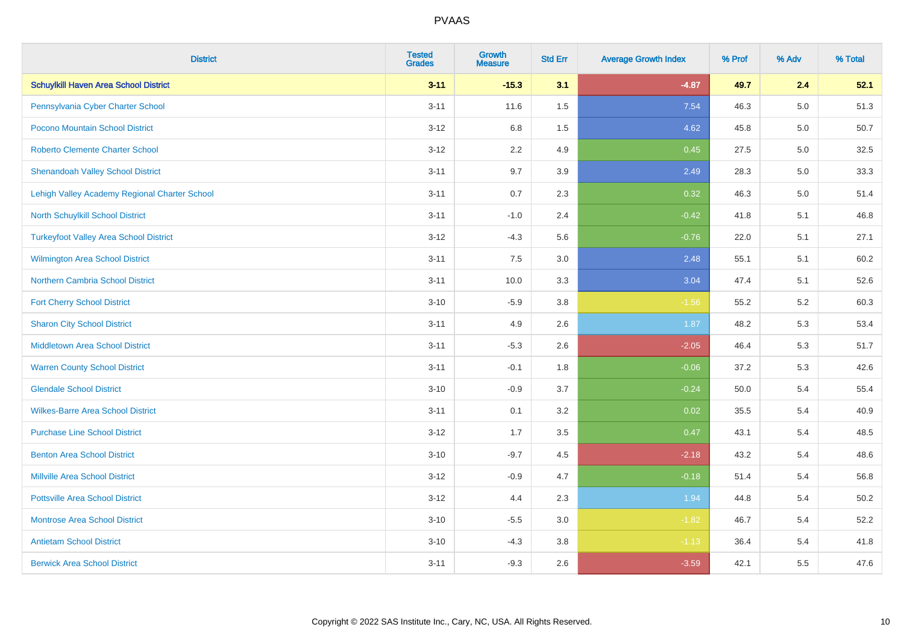| <b>District</b>                               | <b>Tested</b><br><b>Grades</b> | Growth<br><b>Measure</b> | <b>Std Err</b> | <b>Average Growth Index</b> | % Prof | % Adv   | % Total |
|-----------------------------------------------|--------------------------------|--------------------------|----------------|-----------------------------|--------|---------|---------|
| <b>Schuylkill Haven Area School District</b>  | $3 - 11$                       | $-15.3$                  | 3.1            | $-4.87$                     | 49.7   | 2.4     | 52.1    |
| Pennsylvania Cyber Charter School             | $3 - 11$                       | 11.6                     | 1.5            | 7.54                        | 46.3   | $5.0\,$ | 51.3    |
| Pocono Mountain School District               | $3 - 12$                       | 6.8                      | $1.5$          | 4.62                        | 45.8   | 5.0     | 50.7    |
| <b>Roberto Clemente Charter School</b>        | $3 - 12$                       | 2.2                      | 4.9            | 0.45                        | 27.5   | 5.0     | 32.5    |
| <b>Shenandoah Valley School District</b>      | $3 - 11$                       | 9.7                      | 3.9            | 2.49                        | 28.3   | 5.0     | 33.3    |
| Lehigh Valley Academy Regional Charter School | $3 - 11$                       | 0.7                      | 2.3            | 0.32                        | 46.3   | $5.0\,$ | 51.4    |
| North Schuylkill School District              | $3 - 11$                       | $-1.0$                   | 2.4            | $-0.42$                     | 41.8   | 5.1     | 46.8    |
| <b>Turkeyfoot Valley Area School District</b> | $3 - 12$                       | $-4.3$                   | 5.6            | $-0.76$                     | 22.0   | 5.1     | 27.1    |
| <b>Wilmington Area School District</b>        | $3 - 11$                       | 7.5                      | 3.0            | 2.48                        | 55.1   | 5.1     | 60.2    |
| <b>Northern Cambria School District</b>       | $3 - 11$                       | 10.0                     | 3.3            | 3.04                        | 47.4   | 5.1     | 52.6    |
| <b>Fort Cherry School District</b>            | $3 - 10$                       | $-5.9$                   | 3.8            | $-1.56$                     | 55.2   | 5.2     | 60.3    |
| <b>Sharon City School District</b>            | $3 - 11$                       | 4.9                      | 2.6            | 1.87                        | 48.2   | 5.3     | 53.4    |
| Middletown Area School District               | $3 - 11$                       | $-5.3$                   | 2.6            | $-2.05$                     | 46.4   | 5.3     | 51.7    |
| <b>Warren County School District</b>          | $3 - 11$                       | $-0.1$                   | 1.8            | $-0.06$                     | 37.2   | 5.3     | 42.6    |
| <b>Glendale School District</b>               | $3 - 10$                       | $-0.9$                   | 3.7            | $-0.24$                     | 50.0   | 5.4     | 55.4    |
| <b>Wilkes-Barre Area School District</b>      | $3 - 11$                       | 0.1                      | 3.2            | 0.02                        | 35.5   | 5.4     | 40.9    |
| <b>Purchase Line School District</b>          | $3 - 12$                       | 1.7                      | 3.5            | 0.47                        | 43.1   | 5.4     | 48.5    |
| <b>Benton Area School District</b>            | $3 - 10$                       | $-9.7$                   | 4.5            | $-2.18$                     | 43.2   | 5.4     | 48.6    |
| Millville Area School District                | $3 - 12$                       | $-0.9$                   | 4.7            | $-0.18$                     | 51.4   | 5.4     | 56.8    |
| <b>Pottsville Area School District</b>        | $3 - 12$                       | 4.4                      | 2.3            | 1.94                        | 44.8   | 5.4     | 50.2    |
| <b>Montrose Area School District</b>          | $3 - 10$                       | $-5.5$                   | 3.0            | $-1.82$                     | 46.7   | 5.4     | 52.2    |
| <b>Antietam School District</b>               | $3 - 10$                       | $-4.3$                   | 3.8            | $-1.13$                     | 36.4   | 5.4     | 41.8    |
| <b>Berwick Area School District</b>           | $3 - 11$                       | $-9.3$                   | 2.6            | $-3.59$                     | 42.1   | 5.5     | 47.6    |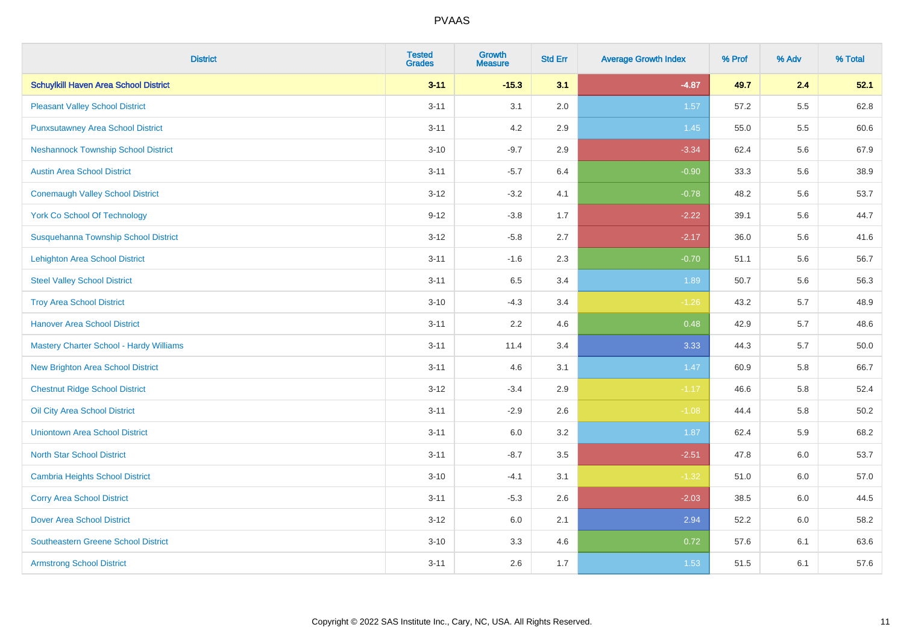| <b>District</b>                                | <b>Tested</b><br><b>Grades</b> | <b>Growth</b><br><b>Measure</b> | <b>Std Err</b> | <b>Average Growth Index</b> | % Prof | % Adv | % Total  |
|------------------------------------------------|--------------------------------|---------------------------------|----------------|-----------------------------|--------|-------|----------|
| <b>Schuylkill Haven Area School District</b>   | $3 - 11$                       | $-15.3$                         | 3.1            | $-4.87$                     | 49.7   | 2.4   | 52.1     |
| <b>Pleasant Valley School District</b>         | $3 - 11$                       | 3.1                             | 2.0            | 1.57                        | 57.2   | 5.5   | 62.8     |
| <b>Punxsutawney Area School District</b>       | $3 - 11$                       | 4.2                             | 2.9            | 1.45                        | 55.0   | 5.5   | 60.6     |
| <b>Neshannock Township School District</b>     | $3 - 10$                       | $-9.7$                          | 2.9            | $-3.34$                     | 62.4   | 5.6   | 67.9     |
| <b>Austin Area School District</b>             | $3 - 11$                       | $-5.7$                          | 6.4            | $-0.90$                     | 33.3   | 5.6   | 38.9     |
| <b>Conemaugh Valley School District</b>        | $3 - 12$                       | $-3.2$                          | 4.1            | $-0.78$                     | 48.2   | 5.6   | 53.7     |
| <b>York Co School Of Technology</b>            | $9 - 12$                       | $-3.8$                          | 1.7            | $-2.22$                     | 39.1   | 5.6   | 44.7     |
| Susquehanna Township School District           | $3 - 12$                       | $-5.8$                          | 2.7            | $-2.17$                     | 36.0   | 5.6   | 41.6     |
| <b>Lehighton Area School District</b>          | $3 - 11$                       | $-1.6$                          | 2.3            | $-0.70$                     | 51.1   | 5.6   | 56.7     |
| <b>Steel Valley School District</b>            | $3 - 11$                       | 6.5                             | 3.4            | 1.89                        | 50.7   | 5.6   | 56.3     |
| <b>Troy Area School District</b>               | $3 - 10$                       | $-4.3$                          | 3.4            | $-1.26$                     | 43.2   | 5.7   | 48.9     |
| <b>Hanover Area School District</b>            | $3 - 11$                       | 2.2                             | 4.6            | 0.48                        | 42.9   | 5.7   | 48.6     |
| <b>Mastery Charter School - Hardy Williams</b> | $3 - 11$                       | 11.4                            | 3.4            | 3.33                        | 44.3   | 5.7   | 50.0     |
| <b>New Brighton Area School District</b>       | $3 - 11$                       | 4.6                             | 3.1            | 1.47                        | 60.9   | 5.8   | 66.7     |
| <b>Chestnut Ridge School District</b>          | $3 - 12$                       | $-3.4$                          | 2.9            | $-1.17$                     | 46.6   | 5.8   | 52.4     |
| Oil City Area School District                  | $3 - 11$                       | $-2.9$                          | 2.6            | $-1.08$                     | 44.4   | 5.8   | $50.2\,$ |
| <b>Uniontown Area School District</b>          | $3 - 11$                       | 6.0                             | 3.2            | 1.87                        | 62.4   | 5.9   | 68.2     |
| <b>North Star School District</b>              | $3 - 11$                       | $-8.7$                          | 3.5            | $-2.51$                     | 47.8   | 6.0   | 53.7     |
| <b>Cambria Heights School District</b>         | $3 - 10$                       | $-4.1$                          | 3.1            | $-1.32$                     | 51.0   | 6.0   | 57.0     |
| <b>Corry Area School District</b>              | $3 - 11$                       | $-5.3$                          | 2.6            | $-2.03$                     | 38.5   | 6.0   | 44.5     |
| <b>Dover Area School District</b>              | $3 - 12$                       | 6.0                             | 2.1            | 2.94                        | 52.2   | 6.0   | 58.2     |
| <b>Southeastern Greene School District</b>     | $3 - 10$                       | 3.3                             | 4.6            | 0.72                        | 57.6   | 6.1   | 63.6     |
| <b>Armstrong School District</b>               | $3 - 11$                       | 2.6                             | 1.7            | 1.53                        | 51.5   | 6.1   | 57.6     |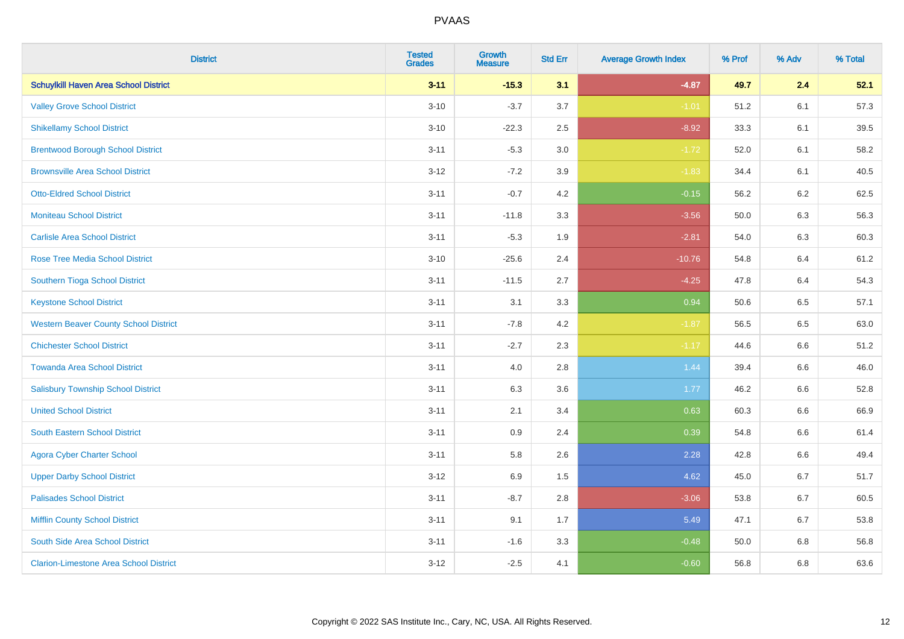| <b>District</b>                               | <b>Tested</b><br><b>Grades</b> | <b>Growth</b><br><b>Measure</b> | <b>Std Err</b> | <b>Average Growth Index</b> | % Prof | % Adv   | % Total |
|-----------------------------------------------|--------------------------------|---------------------------------|----------------|-----------------------------|--------|---------|---------|
| <b>Schuylkill Haven Area School District</b>  | $3 - 11$                       | $-15.3$                         | 3.1            | $-4.87$                     | 49.7   | 2.4     | 52.1    |
| <b>Valley Grove School District</b>           | $3 - 10$                       | $-3.7$                          | 3.7            | $-1.01$                     | 51.2   | 6.1     | 57.3    |
| <b>Shikellamy School District</b>             | $3 - 10$                       | $-22.3$                         | 2.5            | $-8.92$                     | 33.3   | 6.1     | 39.5    |
| <b>Brentwood Borough School District</b>      | $3 - 11$                       | $-5.3$                          | 3.0            | $-1.72$                     | 52.0   | 6.1     | 58.2    |
| <b>Brownsville Area School District</b>       | $3 - 12$                       | $-7.2$                          | 3.9            | $-1.83$                     | 34.4   | 6.1     | 40.5    |
| <b>Otto-Eldred School District</b>            | $3 - 11$                       | $-0.7$                          | 4.2            | $-0.15$                     | 56.2   | 6.2     | 62.5    |
| <b>Moniteau School District</b>               | $3 - 11$                       | $-11.8$                         | 3.3            | $-3.56$                     | 50.0   | 6.3     | 56.3    |
| <b>Carlisle Area School District</b>          | $3 - 11$                       | $-5.3$                          | 1.9            | $-2.81$                     | 54.0   | 6.3     | 60.3    |
| Rose Tree Media School District               | $3 - 10$                       | $-25.6$                         | 2.4            | $-10.76$                    | 54.8   | 6.4     | 61.2    |
| Southern Tioga School District                | $3 - 11$                       | $-11.5$                         | 2.7            | $-4.25$                     | 47.8   | 6.4     | 54.3    |
| <b>Keystone School District</b>               | $3 - 11$                       | 3.1                             | 3.3            | 0.94                        | 50.6   | 6.5     | 57.1    |
| <b>Western Beaver County School District</b>  | $3 - 11$                       | $-7.8$                          | 4.2            | $-1.87$                     | 56.5   | 6.5     | 63.0    |
| <b>Chichester School District</b>             | $3 - 11$                       | $-2.7$                          | 2.3            | $-1.17$                     | 44.6   | 6.6     | 51.2    |
| <b>Towanda Area School District</b>           | $3 - 11$                       | 4.0                             | 2.8            | 1.44                        | 39.4   | 6.6     | 46.0    |
| <b>Salisbury Township School District</b>     | $3 - 11$                       | 6.3                             | 3.6            | 1.77                        | 46.2   | 6.6     | 52.8    |
| <b>United School District</b>                 | $3 - 11$                       | 2.1                             | 3.4            | 0.63                        | 60.3   | $6.6\,$ | 66.9    |
| <b>South Eastern School District</b>          | $3 - 11$                       | 0.9                             | 2.4            | 0.39                        | 54.8   | 6.6     | 61.4    |
| <b>Agora Cyber Charter School</b>             | $3 - 11$                       | 5.8                             | 2.6            | 2.28                        | 42.8   | 6.6     | 49.4    |
| <b>Upper Darby School District</b>            | $3 - 12$                       | 6.9                             | 1.5            | 4.62                        | 45.0   | 6.7     | 51.7    |
| <b>Palisades School District</b>              | $3 - 11$                       | $-8.7$                          | 2.8            | $-3.06$                     | 53.8   | 6.7     | 60.5    |
| <b>Mifflin County School District</b>         | $3 - 11$                       | 9.1                             | 1.7            | 5.49                        | 47.1   | 6.7     | 53.8    |
| South Side Area School District               | $3 - 11$                       | $-1.6$                          | 3.3            | $-0.48$                     | 50.0   | 6.8     | 56.8    |
| <b>Clarion-Limestone Area School District</b> | $3 - 12$                       | $-2.5$                          | 4.1            | $-0.60$                     | 56.8   | 6.8     | 63.6    |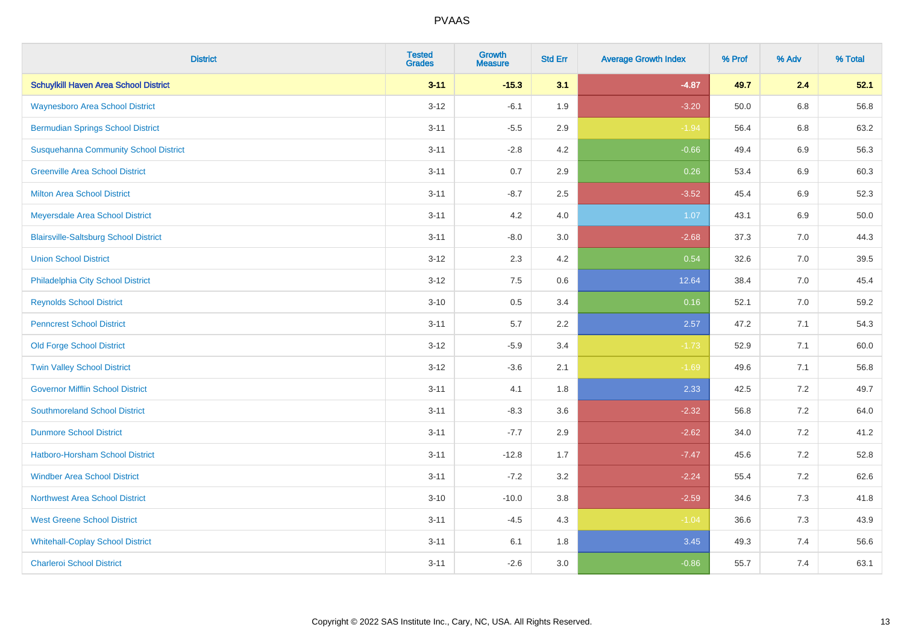| <b>District</b>                              | <b>Tested</b><br><b>Grades</b> | <b>Growth</b><br><b>Measure</b> | <b>Std Err</b> | <b>Average Growth Index</b> | % Prof | % Adv   | % Total |
|----------------------------------------------|--------------------------------|---------------------------------|----------------|-----------------------------|--------|---------|---------|
| <b>Schuylkill Haven Area School District</b> | $3 - 11$                       | $-15.3$                         | 3.1            | $-4.87$                     | 49.7   | 2.4     | 52.1    |
| <b>Waynesboro Area School District</b>       | $3 - 12$                       | $-6.1$                          | 1.9            | $-3.20$                     | 50.0   | $6.8\,$ | 56.8    |
| <b>Bermudian Springs School District</b>     | $3 - 11$                       | $-5.5$                          | 2.9            | $-1.94$                     | 56.4   | 6.8     | 63.2    |
| <b>Susquehanna Community School District</b> | $3 - 11$                       | $-2.8$                          | 4.2            | $-0.66$                     | 49.4   | $6.9\,$ | 56.3    |
| <b>Greenville Area School District</b>       | $3 - 11$                       | 0.7                             | 2.9            | 0.26                        | 53.4   | 6.9     | 60.3    |
| <b>Milton Area School District</b>           | $3 - 11$                       | $-8.7$                          | 2.5            | $-3.52$                     | 45.4   | $6.9\,$ | 52.3    |
| Meyersdale Area School District              | $3 - 11$                       | 4.2                             | 4.0            | 1.07                        | 43.1   | 6.9     | 50.0    |
| <b>Blairsville-Saltsburg School District</b> | $3 - 11$                       | $-8.0$                          | 3.0            | $-2.68$                     | 37.3   | 7.0     | 44.3    |
| <b>Union School District</b>                 | $3 - 12$                       | 2.3                             | 4.2            | 0.54                        | 32.6   | 7.0     | 39.5    |
| Philadelphia City School District            | $3 - 12$                       | 7.5                             | 0.6            | 12.64                       | 38.4   | 7.0     | 45.4    |
| <b>Reynolds School District</b>              | $3 - 10$                       | 0.5                             | 3.4            | 0.16                        | 52.1   | 7.0     | 59.2    |
| <b>Penncrest School District</b>             | $3 - 11$                       | 5.7                             | 2.2            | 2.57                        | 47.2   | 7.1     | 54.3    |
| <b>Old Forge School District</b>             | $3 - 12$                       | $-5.9$                          | 3.4            | $-1.73$                     | 52.9   | 7.1     | 60.0    |
| <b>Twin Valley School District</b>           | $3 - 12$                       | $-3.6$                          | 2.1            | $-1.69$                     | 49.6   | 7.1     | 56.8    |
| <b>Governor Mifflin School District</b>      | $3 - 11$                       | 4.1                             | 1.8            | 2.33                        | 42.5   | 7.2     | 49.7    |
| <b>Southmoreland School District</b>         | $3 - 11$                       | $-8.3$                          | 3.6            | $-2.32$                     | 56.8   | 7.2     | 64.0    |
| <b>Dunmore School District</b>               | $3 - 11$                       | $-7.7$                          | 2.9            | $-2.62$                     | 34.0   | 7.2     | 41.2    |
| <b>Hatboro-Horsham School District</b>       | $3 - 11$                       | $-12.8$                         | 1.7            | $-7.47$                     | 45.6   | 7.2     | 52.8    |
| <b>Windber Area School District</b>          | $3 - 11$                       | $-7.2$                          | 3.2            | $-2.24$                     | 55.4   | 7.2     | 62.6    |
| <b>Northwest Area School District</b>        | $3 - 10$                       | $-10.0$                         | 3.8            | $-2.59$                     | 34.6   | 7.3     | 41.8    |
| <b>West Greene School District</b>           | $3 - 11$                       | $-4.5$                          | 4.3            | $-1.04$                     | 36.6   | 7.3     | 43.9    |
| <b>Whitehall-Coplay School District</b>      | $3 - 11$                       | 6.1                             | 1.8            | 3.45                        | 49.3   | 7.4     | 56.6    |
| <b>Charleroi School District</b>             | $3 - 11$                       | $-2.6$                          | 3.0            | $-0.86$                     | 55.7   | 7.4     | 63.1    |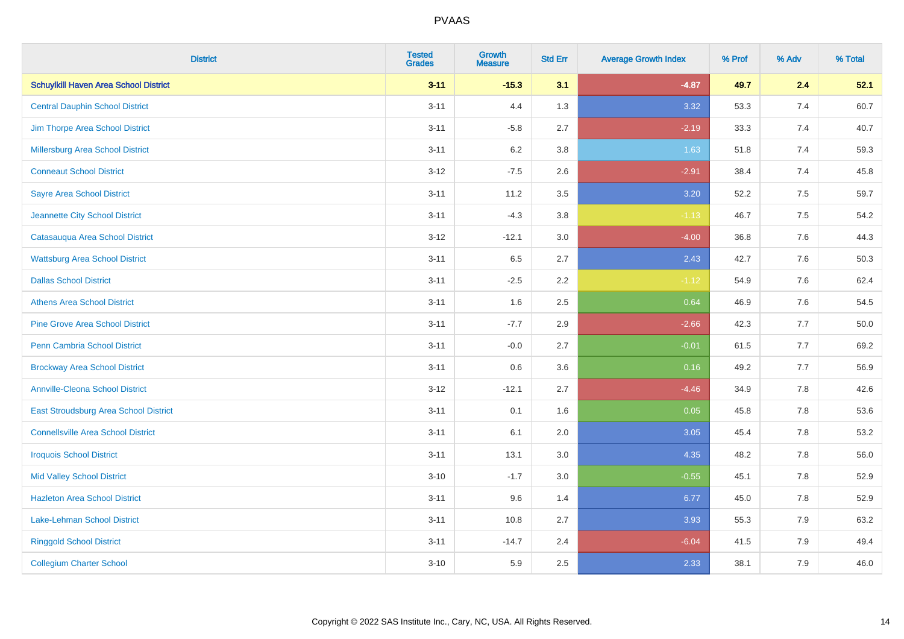| <b>District</b>                              | <b>Tested</b><br><b>Grades</b> | <b>Growth</b><br><b>Measure</b> | <b>Std Err</b> | <b>Average Growth Index</b> | % Prof | % Adv | % Total |
|----------------------------------------------|--------------------------------|---------------------------------|----------------|-----------------------------|--------|-------|---------|
| <b>Schuylkill Haven Area School District</b> | $3 - 11$                       | $-15.3$                         | 3.1            | $-4.87$                     | 49.7   | 2.4   | 52.1    |
| <b>Central Dauphin School District</b>       | $3 - 11$                       | 4.4                             | 1.3            | 3.32                        | 53.3   | 7.4   | 60.7    |
| Jim Thorpe Area School District              | $3 - 11$                       | $-5.8$                          | 2.7            | $-2.19$                     | 33.3   | 7.4   | 40.7    |
| <b>Millersburg Area School District</b>      | $3 - 11$                       | $6.2\,$                         | 3.8            | 1.63                        | 51.8   | 7.4   | 59.3    |
| <b>Conneaut School District</b>              | $3 - 12$                       | $-7.5$                          | 2.6            | $-2.91$                     | 38.4   | 7.4   | 45.8    |
| <b>Sayre Area School District</b>            | $3 - 11$                       | 11.2                            | 3.5            | 3.20                        | 52.2   | 7.5   | 59.7    |
| Jeannette City School District               | $3 - 11$                       | $-4.3$                          | 3.8            | $-1.13$                     | 46.7   | 7.5   | 54.2    |
| Catasauqua Area School District              | $3 - 12$                       | $-12.1$                         | 3.0            | $-4.00$                     | 36.8   | 7.6   | 44.3    |
| <b>Wattsburg Area School District</b>        | $3 - 11$                       | 6.5                             | 2.7            | 2.43                        | 42.7   | 7.6   | 50.3    |
| <b>Dallas School District</b>                | $3 - 11$                       | $-2.5$                          | $2.2\,$        | $-1.12$                     | 54.9   | 7.6   | 62.4    |
| <b>Athens Area School District</b>           | $3 - 11$                       | 1.6                             | 2.5            | 0.64                        | 46.9   | 7.6   | 54.5    |
| <b>Pine Grove Area School District</b>       | $3 - 11$                       | $-7.7$                          | 2.9            | $-2.66$                     | 42.3   | 7.7   | 50.0    |
| Penn Cambria School District                 | $3 - 11$                       | $-0.0$                          | 2.7            | $-0.01$                     | 61.5   | 7.7   | 69.2    |
| <b>Brockway Area School District</b>         | $3 - 11$                       | $0.6\,$                         | 3.6            | 0.16                        | 49.2   | 7.7   | 56.9    |
| <b>Annville-Cleona School District</b>       | $3 - 12$                       | $-12.1$                         | 2.7            | $-4.46$                     | 34.9   | 7.8   | 42.6    |
| East Stroudsburg Area School District        | $3 - 11$                       | 0.1                             | 1.6            | 0.05                        | 45.8   | 7.8   | 53.6    |
| <b>Connellsville Area School District</b>    | $3 - 11$                       | 6.1                             | 2.0            | 3.05                        | 45.4   | 7.8   | 53.2    |
| <b>Iroquois School District</b>              | $3 - 11$                       | 13.1                            | 3.0            | 4.35                        | 48.2   | 7.8   | 56.0    |
| <b>Mid Valley School District</b>            | $3 - 10$                       | $-1.7$                          | 3.0            | $-0.55$                     | 45.1   | 7.8   | 52.9    |
| <b>Hazleton Area School District</b>         | $3 - 11$                       | 9.6                             | 1.4            | 6.77                        | 45.0   | 7.8   | 52.9    |
| Lake-Lehman School District                  | $3 - 11$                       | 10.8                            | 2.7            | 3.93                        | 55.3   | 7.9   | 63.2    |
| <b>Ringgold School District</b>              | $3 - 11$                       | $-14.7$                         | 2.4            | $-6.04$                     | 41.5   | 7.9   | 49.4    |
| <b>Collegium Charter School</b>              | $3 - 10$                       | 5.9                             | 2.5            | 2.33                        | 38.1   | 7.9   | 46.0    |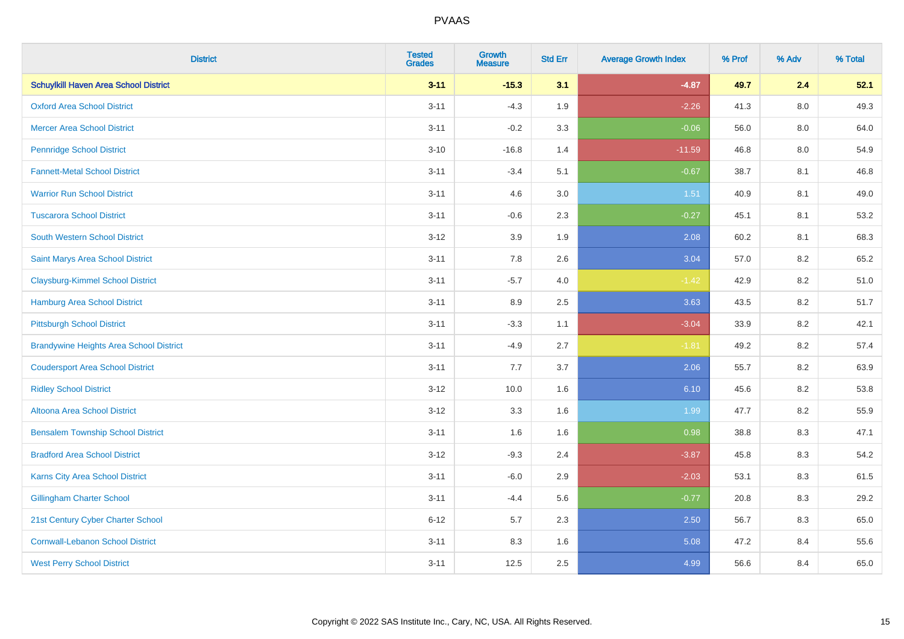| <b>District</b>                                | <b>Tested</b><br><b>Grades</b> | <b>Growth</b><br><b>Measure</b> | <b>Std Err</b> | <b>Average Growth Index</b> | % Prof | % Adv   | % Total |
|------------------------------------------------|--------------------------------|---------------------------------|----------------|-----------------------------|--------|---------|---------|
| <b>Schuylkill Haven Area School District</b>   | $3 - 11$                       | $-15.3$                         | 3.1            | $-4.87$                     | 49.7   | 2.4     | 52.1    |
| <b>Oxford Area School District</b>             | $3 - 11$                       | $-4.3$                          | 1.9            | $-2.26$                     | 41.3   | $8.0\,$ | 49.3    |
| <b>Mercer Area School District</b>             | $3 - 11$                       | $-0.2$                          | 3.3            | $-0.06$                     | 56.0   | 8.0     | 64.0    |
| <b>Pennridge School District</b>               | $3 - 10$                       | $-16.8$                         | 1.4            | $-11.59$                    | 46.8   | $8.0\,$ | 54.9    |
| <b>Fannett-Metal School District</b>           | $3 - 11$                       | $-3.4$                          | 5.1            | $-0.67$                     | 38.7   | 8.1     | 46.8    |
| <b>Warrior Run School District</b>             | $3 - 11$                       | 4.6                             | 3.0            | 1.51                        | 40.9   | 8.1     | 49.0    |
| <b>Tuscarora School District</b>               | $3 - 11$                       | $-0.6$                          | 2.3            | $-0.27$                     | 45.1   | 8.1     | 53.2    |
| <b>South Western School District</b>           | $3 - 12$                       | 3.9                             | 1.9            | 2.08                        | 60.2   | 8.1     | 68.3    |
| Saint Marys Area School District               | $3 - 11$                       | 7.8                             | 2.6            | 3.04                        | 57.0   | 8.2     | 65.2    |
| <b>Claysburg-Kimmel School District</b>        | $3 - 11$                       | $-5.7$                          | 4.0            | $-1.42$                     | 42.9   | $8.2\,$ | 51.0    |
| Hamburg Area School District                   | $3 - 11$                       | 8.9                             | 2.5            | 3.63                        | 43.5   | 8.2     | 51.7    |
| <b>Pittsburgh School District</b>              | $3 - 11$                       | $-3.3$                          | 1.1            | $-3.04$                     | 33.9   | 8.2     | 42.1    |
| <b>Brandywine Heights Area School District</b> | $3 - 11$                       | $-4.9$                          | 2.7            | $-1.81$                     | 49.2   | 8.2     | 57.4    |
| <b>Coudersport Area School District</b>        | $3 - 11$                       | 7.7                             | 3.7            | 2.06                        | 55.7   | 8.2     | 63.9    |
| <b>Ridley School District</b>                  | $3-12$                         | 10.0                            | 1.6            | 6.10                        | 45.6   | 8.2     | 53.8    |
| Altoona Area School District                   | $3 - 12$                       | 3.3                             | 1.6            | 1.99                        | 47.7   | 8.2     | 55.9    |
| <b>Bensalem Township School District</b>       | $3 - 11$                       | 1.6                             | 1.6            | 0.98                        | 38.8   | 8.3     | 47.1    |
| <b>Bradford Area School District</b>           | $3 - 12$                       | $-9.3$                          | 2.4            | $-3.87$                     | 45.8   | 8.3     | 54.2    |
| Karns City Area School District                | $3 - 11$                       | $-6.0$                          | 2.9            | $-2.03$                     | 53.1   | 8.3     | 61.5    |
| <b>Gillingham Charter School</b>               | $3 - 11$                       | $-4.4$                          | 5.6            | $-0.77$                     | 20.8   | 8.3     | 29.2    |
| 21st Century Cyber Charter School              | $6 - 12$                       | 5.7                             | 2.3            | 2.50                        | 56.7   | 8.3     | 65.0    |
| <b>Cornwall-Lebanon School District</b>        | $3 - 11$                       | 8.3                             | 1.6            | 5.08                        | 47.2   | 8.4     | 55.6    |
| <b>West Perry School District</b>              | $3 - 11$                       | 12.5                            | 2.5            | 4.99                        | 56.6   | 8.4     | 65.0    |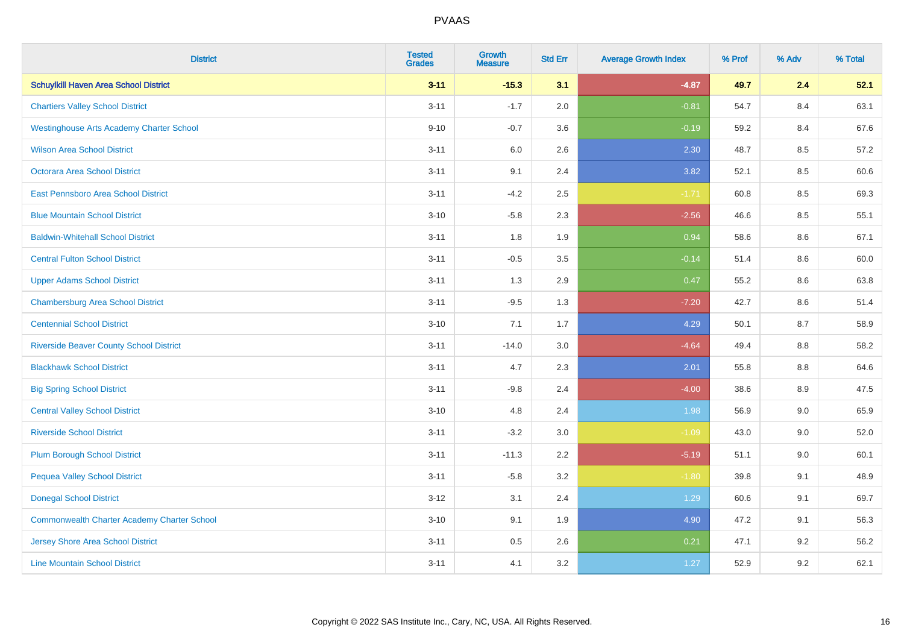| <b>District</b>                                    | <b>Tested</b><br><b>Grades</b> | <b>Growth</b><br><b>Measure</b> | <b>Std Err</b> | <b>Average Growth Index</b> | % Prof | % Adv | % Total |
|----------------------------------------------------|--------------------------------|---------------------------------|----------------|-----------------------------|--------|-------|---------|
| <b>Schuylkill Haven Area School District</b>       | $3 - 11$                       | $-15.3$                         | 3.1            | $-4.87$                     | 49.7   | 2.4   | 52.1    |
| <b>Chartiers Valley School District</b>            | $3 - 11$                       | $-1.7$                          | 2.0            | $-0.81$                     | 54.7   | 8.4   | 63.1    |
| <b>Westinghouse Arts Academy Charter School</b>    | $9 - 10$                       | $-0.7$                          | 3.6            | $-0.19$                     | 59.2   | 8.4   | 67.6    |
| <b>Wilson Area School District</b>                 | $3 - 11$                       | $6.0\,$                         | 2.6            | 2.30                        | 48.7   | 8.5   | 57.2    |
| Octorara Area School District                      | $3 - 11$                       | 9.1                             | 2.4            | 3.82                        | 52.1   | 8.5   | 60.6    |
| East Pennsboro Area School District                | $3 - 11$                       | $-4.2$                          | 2.5            | $-1.71$                     | 60.8   | 8.5   | 69.3    |
| <b>Blue Mountain School District</b>               | $3 - 10$                       | $-5.8$                          | 2.3            | $-2.56$                     | 46.6   | 8.5   | 55.1    |
| <b>Baldwin-Whitehall School District</b>           | $3 - 11$                       | 1.8                             | 1.9            | 0.94                        | 58.6   | 8.6   | 67.1    |
| <b>Central Fulton School District</b>              | $3 - 11$                       | $-0.5$                          | 3.5            | $-0.14$                     | 51.4   | 8.6   | 60.0    |
| <b>Upper Adams School District</b>                 | $3 - 11$                       | 1.3                             | 2.9            | 0.47                        | 55.2   | 8.6   | 63.8    |
| <b>Chambersburg Area School District</b>           | $3 - 11$                       | $-9.5$                          | 1.3            | $-7.20$                     | 42.7   | 8.6   | 51.4    |
| <b>Centennial School District</b>                  | $3 - 10$                       | 7.1                             | 1.7            | 4.29                        | 50.1   | 8.7   | 58.9    |
| <b>Riverside Beaver County School District</b>     | $3 - 11$                       | $-14.0$                         | 3.0            | $-4.64$                     | 49.4   | 8.8   | 58.2    |
| <b>Blackhawk School District</b>                   | $3 - 11$                       | 4.7                             | 2.3            | 2.01                        | 55.8   | 8.8   | 64.6    |
| <b>Big Spring School District</b>                  | $3 - 11$                       | $-9.8$                          | 2.4            | $-4.00$                     | 38.6   | 8.9   | 47.5    |
| <b>Central Valley School District</b>              | $3 - 10$                       | 4.8                             | 2.4            | 1.98                        | 56.9   | 9.0   | 65.9    |
| <b>Riverside School District</b>                   | $3 - 11$                       | $-3.2$                          | 3.0            | $-1.09$                     | 43.0   | 9.0   | 52.0    |
| <b>Plum Borough School District</b>                | $3 - 11$                       | $-11.3$                         | 2.2            | $-5.19$                     | 51.1   | 9.0   | 60.1    |
| <b>Pequea Valley School District</b>               | $3 - 11$                       | $-5.8$                          | 3.2            | $-1.80$                     | 39.8   | 9.1   | 48.9    |
| <b>Donegal School District</b>                     | $3 - 12$                       | 3.1                             | 2.4            | 1.29                        | 60.6   | 9.1   | 69.7    |
| <b>Commonwealth Charter Academy Charter School</b> | $3 - 10$                       | 9.1                             | 1.9            | 4.90                        | 47.2   | 9.1   | 56.3    |
| <b>Jersey Shore Area School District</b>           | $3 - 11$                       | $0.5\,$                         | 2.6            | 0.21                        | 47.1   | 9.2   | 56.2    |
| <b>Line Mountain School District</b>               | $3 - 11$                       | 4.1                             | 3.2            | 1.27                        | 52.9   | 9.2   | 62.1    |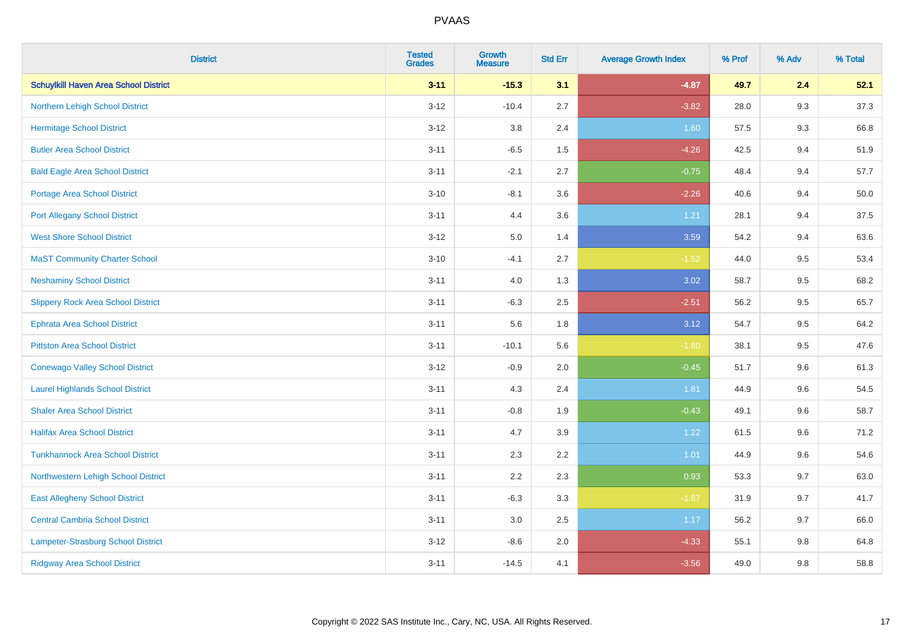| <b>District</b>                              | <b>Tested</b><br><b>Grades</b> | <b>Growth</b><br><b>Measure</b> | <b>Std Err</b> | <b>Average Growth Index</b> | % Prof | % Adv | % Total |
|----------------------------------------------|--------------------------------|---------------------------------|----------------|-----------------------------|--------|-------|---------|
| <b>Schuylkill Haven Area School District</b> | $3 - 11$                       | $-15.3$                         | 3.1            | $-4.87$                     | 49.7   | 2.4   | 52.1    |
| Northern Lehigh School District              | $3 - 12$                       | $-10.4$                         | 2.7            | $-3.82$                     | 28.0   | 9.3   | 37.3    |
| <b>Hermitage School District</b>             | $3 - 12$                       | 3.8                             | 2.4            | 1.60                        | 57.5   | 9.3   | 66.8    |
| <b>Butler Area School District</b>           | $3 - 11$                       | $-6.5$                          | 1.5            | $-4.26$                     | 42.5   | 9.4   | 51.9    |
| <b>Bald Eagle Area School District</b>       | $3 - 11$                       | $-2.1$                          | 2.7            | $-0.75$                     | 48.4   | 9.4   | 57.7    |
| Portage Area School District                 | $3 - 10$                       | $-8.1$                          | 3.6            | $-2.26$                     | 40.6   | 9.4   | 50.0    |
| <b>Port Allegany School District</b>         | $3 - 11$                       | 4.4                             | 3.6            | 1.21                        | 28.1   | 9.4   | 37.5    |
| <b>West Shore School District</b>            | $3 - 12$                       | 5.0                             | 1.4            | 3.59                        | 54.2   | 9.4   | 63.6    |
| <b>MaST Community Charter School</b>         | $3 - 10$                       | $-4.1$                          | 2.7            | $-1.52$                     | 44.0   | 9.5   | 53.4    |
| <b>Neshaminy School District</b>             | $3 - 11$                       | 4.0                             | 1.3            | 3.02                        | 58.7   | 9.5   | 68.2    |
| <b>Slippery Rock Area School District</b>    | $3 - 11$                       | $-6.3$                          | 2.5            | $-2.51$                     | 56.2   | 9.5   | 65.7    |
| <b>Ephrata Area School District</b>          | $3 - 11$                       | 5.6                             | 1.8            | 3.12                        | 54.7   | 9.5   | 64.2    |
| <b>Pittston Area School District</b>         | $3 - 11$                       | $-10.1$                         | 5.6            | $-1.80$                     | 38.1   | 9.5   | 47.6    |
| <b>Conewago Valley School District</b>       | $3 - 12$                       | $-0.9$                          | 2.0            | $-0.45$                     | 51.7   | 9.6   | 61.3    |
| <b>Laurel Highlands School District</b>      | $3 - 11$                       | 4.3                             | 2.4            | 1.81                        | 44.9   | 9.6   | 54.5    |
| <b>Shaler Area School District</b>           | $3 - 11$                       | $-0.8$                          | 1.9            | $-0.43$                     | 49.1   | 9.6   | 58.7    |
| <b>Halifax Area School District</b>          | $3 - 11$                       | 4.7                             | 3.9            | 1.22                        | 61.5   | 9.6   | 71.2    |
| <b>Tunkhannock Area School District</b>      | $3 - 11$                       | 2.3                             | 2.2            | 1.01                        | 44.9   | 9.6   | 54.6    |
| Northwestern Lehigh School District          | $3 - 11$                       | 2.2                             | 2.3            | 0.93                        | 53.3   | 9.7   | 63.0    |
| <b>East Allegheny School District</b>        | $3 - 11$                       | $-6.3$                          | 3.3            | $-1.87$                     | 31.9   | 9.7   | 41.7    |
| <b>Central Cambria School District</b>       | $3 - 11$                       | 3.0                             | $2.5\,$        | 1.17                        | 56.2   | 9.7   | 66.0    |
| Lampeter-Strasburg School District           | $3 - 12$                       | $-8.6$                          | 2.0            | $-4.33$                     | 55.1   | 9.8   | 64.8    |
| <b>Ridgway Area School District</b>          | $3 - 11$                       | $-14.5$                         | 4.1            | $-3.56$                     | 49.0   | 9.8   | 58.8    |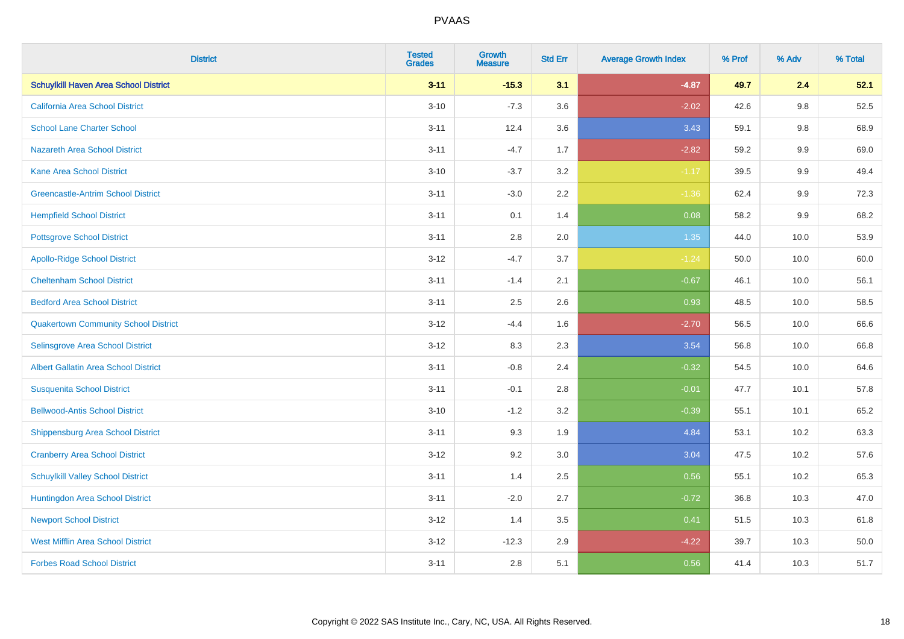| <b>District</b>                              | <b>Tested</b><br><b>Grades</b> | <b>Growth</b><br><b>Measure</b> | <b>Std Err</b> | <b>Average Growth Index</b> | % Prof | % Adv   | % Total |
|----------------------------------------------|--------------------------------|---------------------------------|----------------|-----------------------------|--------|---------|---------|
| <b>Schuylkill Haven Area School District</b> | $3 - 11$                       | $-15.3$                         | 3.1            | $-4.87$                     | 49.7   | 2.4     | 52.1    |
| <b>California Area School District</b>       | $3 - 10$                       | $-7.3$                          | 3.6            | $-2.02$                     | 42.6   | $9.8\,$ | 52.5    |
| <b>School Lane Charter School</b>            | $3 - 11$                       | 12.4                            | 3.6            | 3.43                        | 59.1   | 9.8     | 68.9    |
| <b>Nazareth Area School District</b>         | $3 - 11$                       | $-4.7$                          | 1.7            | $-2.82$                     | 59.2   | $9.9\,$ | 69.0    |
| <b>Kane Area School District</b>             | $3 - 10$                       | $-3.7$                          | 3.2            | $-1.17$                     | 39.5   | 9.9     | 49.4    |
| <b>Greencastle-Antrim School District</b>    | $3 - 11$                       | $-3.0$                          | 2.2            | $-1.36$                     | 62.4   | $9.9\,$ | 72.3    |
| <b>Hempfield School District</b>             | $3 - 11$                       | 0.1                             | 1.4            | 0.08                        | 58.2   | 9.9     | 68.2    |
| <b>Pottsgrove School District</b>            | $3 - 11$                       | 2.8                             | 2.0            | 1.35                        | 44.0   | 10.0    | 53.9    |
| <b>Apollo-Ridge School District</b>          | $3 - 12$                       | $-4.7$                          | 3.7            | $-1.24$                     | 50.0   | 10.0    | 60.0    |
| <b>Cheltenham School District</b>            | $3 - 11$                       | $-1.4$                          | 2.1            | $-0.67$                     | 46.1   | 10.0    | 56.1    |
| <b>Bedford Area School District</b>          | $3 - 11$                       | 2.5                             | 2.6            | 0.93                        | 48.5   | 10.0    | 58.5    |
| <b>Quakertown Community School District</b>  | $3 - 12$                       | $-4.4$                          | 1.6            | $-2.70$                     | 56.5   | 10.0    | 66.6    |
| Selinsgrove Area School District             | $3 - 12$                       | 8.3                             | 2.3            | 3.54                        | 56.8   | 10.0    | 66.8    |
| <b>Albert Gallatin Area School District</b>  | $3 - 11$                       | $-0.8$                          | 2.4            | $-0.32$                     | 54.5   | 10.0    | 64.6    |
| <b>Susquenita School District</b>            | $3 - 11$                       | $-0.1$                          | 2.8            | $-0.01$                     | 47.7   | 10.1    | 57.8    |
| <b>Bellwood-Antis School District</b>        | $3 - 10$                       | $-1.2$                          | 3.2            | $-0.39$                     | 55.1   | 10.1    | 65.2    |
| <b>Shippensburg Area School District</b>     | $3 - 11$                       | 9.3                             | 1.9            | 4.84                        | 53.1   | 10.2    | 63.3    |
| <b>Cranberry Area School District</b>        | $3 - 12$                       | 9.2                             | 3.0            | 3.04                        | 47.5   | 10.2    | 57.6    |
| <b>Schuylkill Valley School District</b>     | $3 - 11$                       | 1.4                             | 2.5            | 0.56                        | 55.1   | 10.2    | 65.3    |
| Huntingdon Area School District              | $3 - 11$                       | $-2.0$                          | 2.7            | $-0.72$                     | 36.8   | 10.3    | 47.0    |
| <b>Newport School District</b>               | $3 - 12$                       | 1.4                             | 3.5            | 0.41                        | 51.5   | 10.3    | 61.8    |
| <b>West Mifflin Area School District</b>     | $3 - 12$                       | $-12.3$                         | 2.9            | $-4.22$                     | 39.7   | 10.3    | 50.0    |
| <b>Forbes Road School District</b>           | $3 - 11$                       | 2.8                             | 5.1            | 0.56                        | 41.4   | 10.3    | 51.7    |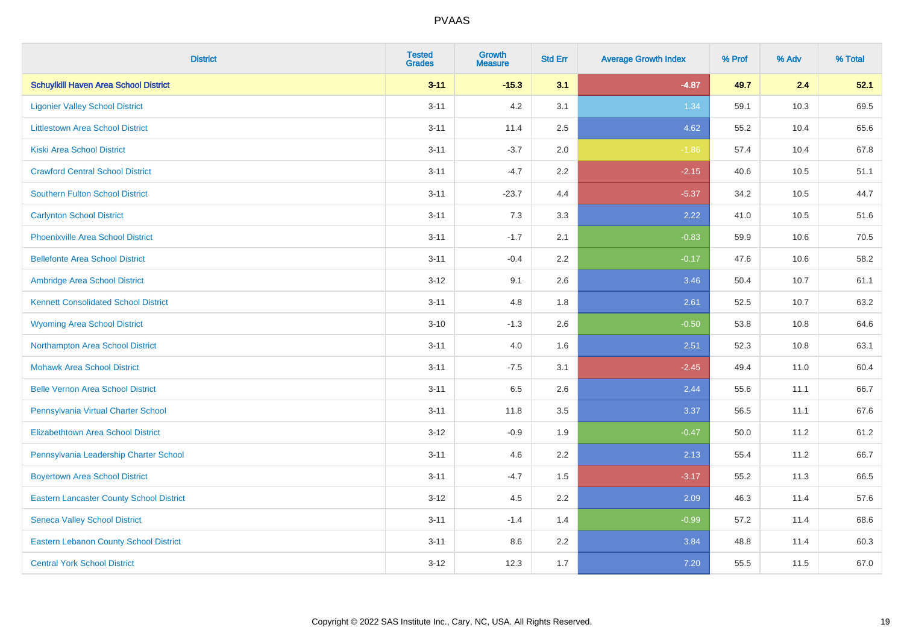| <b>District</b>                                 | <b>Tested</b><br><b>Grades</b> | <b>Growth</b><br><b>Measure</b> | <b>Std Err</b> | <b>Average Growth Index</b> | % Prof | % Adv | % Total |
|-------------------------------------------------|--------------------------------|---------------------------------|----------------|-----------------------------|--------|-------|---------|
| <b>Schuylkill Haven Area School District</b>    | $3 - 11$                       | $-15.3$                         | 3.1            | $-4.87$                     | 49.7   | 2.4   | 52.1    |
| <b>Ligonier Valley School District</b>          | $3 - 11$                       | 4.2                             | 3.1            | 1.34                        | 59.1   | 10.3  | 69.5    |
| <b>Littlestown Area School District</b>         | $3 - 11$                       | 11.4                            | 2.5            | 4.62                        | 55.2   | 10.4  | 65.6    |
| <b>Kiski Area School District</b>               | $3 - 11$                       | $-3.7$                          | 2.0            | $-1.86$                     | 57.4   | 10.4  | 67.8    |
| <b>Crawford Central School District</b>         | $3 - 11$                       | $-4.7$                          | 2.2            | $-2.15$                     | 40.6   | 10.5  | 51.1    |
| <b>Southern Fulton School District</b>          | $3 - 11$                       | $-23.7$                         | 4.4            | $-5.37$                     | 34.2   | 10.5  | 44.7    |
| <b>Carlynton School District</b>                | $3 - 11$                       | 7.3                             | 3.3            | 2.22                        | 41.0   | 10.5  | 51.6    |
| <b>Phoenixville Area School District</b>        | $3 - 11$                       | $-1.7$                          | 2.1            | $-0.83$                     | 59.9   | 10.6  | 70.5    |
| <b>Bellefonte Area School District</b>          | $3 - 11$                       | $-0.4$                          | $2.2^{\circ}$  | $-0.17$                     | 47.6   | 10.6  | 58.2    |
| Ambridge Area School District                   | $3-12$                         | 9.1                             | 2.6            | 3.46                        | 50.4   | 10.7  | 61.1    |
| <b>Kennett Consolidated School District</b>     | $3 - 11$                       | 4.8                             | 1.8            | 2.61                        | 52.5   | 10.7  | 63.2    |
| <b>Wyoming Area School District</b>             | $3 - 10$                       | $-1.3$                          | 2.6            | $-0.50$                     | 53.8   | 10.8  | 64.6    |
| Northampton Area School District                | $3 - 11$                       | 4.0                             | 1.6            | 2.51                        | 52.3   | 10.8  | 63.1    |
| <b>Mohawk Area School District</b>              | $3 - 11$                       | $-7.5$                          | 3.1            | $-2.45$                     | 49.4   | 11.0  | 60.4    |
| <b>Belle Vernon Area School District</b>        | $3 - 11$                       | 6.5                             | 2.6            | 2.44                        | 55.6   | 11.1  | 66.7    |
| Pennsylvania Virtual Charter School             | $3 - 11$                       | 11.8                            | 3.5            | 3.37                        | 56.5   | 11.1  | 67.6    |
| <b>Elizabethtown Area School District</b>       | $3-12$                         | $-0.9$                          | 1.9            | $-0.47$                     | 50.0   | 11.2  | 61.2    |
| Pennsylvania Leadership Charter School          | $3 - 11$                       | 4.6                             | 2.2            | 2.13                        | 55.4   | 11.2  | 66.7    |
| <b>Boyertown Area School District</b>           | $3 - 11$                       | $-4.7$                          | 1.5            | $-3.17$                     | 55.2   | 11.3  | 66.5    |
| <b>Eastern Lancaster County School District</b> | $3 - 12$                       | 4.5                             | 2.2            | 2.09                        | 46.3   | 11.4  | 57.6    |
| <b>Seneca Valley School District</b>            | $3 - 11$                       | $-1.4$                          | 1.4            | $-0.99$                     | 57.2   | 11.4  | 68.6    |
| <b>Eastern Lebanon County School District</b>   | $3 - 11$                       | 8.6                             | 2.2            | 3.84                        | 48.8   | 11.4  | 60.3    |
| <b>Central York School District</b>             | $3 - 12$                       | 12.3                            | 1.7            | 7.20                        | 55.5   | 11.5  | 67.0    |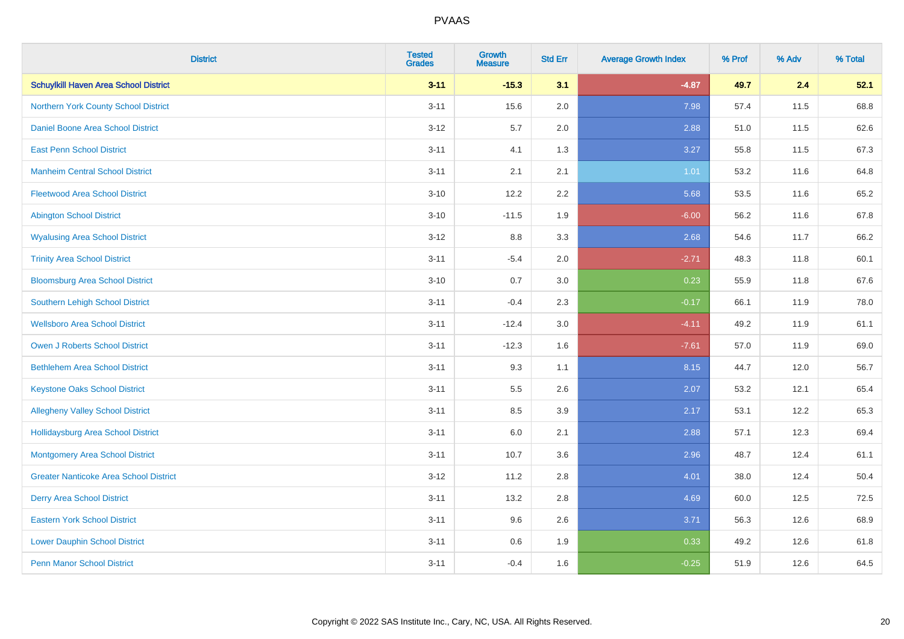| <b>District</b>                               | <b>Tested</b><br><b>Grades</b> | <b>Growth</b><br><b>Measure</b> | <b>Std Err</b> | <b>Average Growth Index</b> | % Prof | % Adv | % Total |
|-----------------------------------------------|--------------------------------|---------------------------------|----------------|-----------------------------|--------|-------|---------|
| <b>Schuylkill Haven Area School District</b>  | $3 - 11$                       | $-15.3$                         | 3.1            | $-4.87$                     | 49.7   | 2.4   | 52.1    |
| Northern York County School District          | $3 - 11$                       | 15.6                            | 2.0            | 7.98                        | 57.4   | 11.5  | 68.8    |
| <b>Daniel Boone Area School District</b>      | $3 - 12$                       | 5.7                             | 2.0            | 2.88                        | 51.0   | 11.5  | 62.6    |
| <b>East Penn School District</b>              | $3 - 11$                       | 4.1                             | 1.3            | 3.27                        | 55.8   | 11.5  | 67.3    |
| <b>Manheim Central School District</b>        | $3 - 11$                       | 2.1                             | 2.1            | 1.01                        | 53.2   | 11.6  | 64.8    |
| <b>Fleetwood Area School District</b>         | $3 - 10$                       | 12.2                            | 2.2            | 5.68                        | 53.5   | 11.6  | 65.2    |
| <b>Abington School District</b>               | $3 - 10$                       | $-11.5$                         | 1.9            | $-6.00$                     | 56.2   | 11.6  | 67.8    |
| <b>Wyalusing Area School District</b>         | $3-12$                         | $8.8\,$                         | 3.3            | 2.68                        | 54.6   | 11.7  | 66.2    |
| <b>Trinity Area School District</b>           | $3 - 11$                       | $-5.4$                          | 2.0            | $-2.71$                     | 48.3   | 11.8  | 60.1    |
| <b>Bloomsburg Area School District</b>        | $3 - 10$                       | 0.7                             | 3.0            | 0.23                        | 55.9   | 11.8  | 67.6    |
| Southern Lehigh School District               | $3 - 11$                       | $-0.4$                          | 2.3            | $-0.17$                     | 66.1   | 11.9  | 78.0    |
| <b>Wellsboro Area School District</b>         | $3 - 11$                       | $-12.4$                         | 3.0            | $-4.11$                     | 49.2   | 11.9  | 61.1    |
| Owen J Roberts School District                | $3 - 11$                       | $-12.3$                         | 1.6            | $-7.61$                     | 57.0   | 11.9  | 69.0    |
| <b>Bethlehem Area School District</b>         | $3 - 11$                       | 9.3                             | 1.1            | 8.15                        | 44.7   | 12.0  | 56.7    |
| <b>Keystone Oaks School District</b>          | $3 - 11$                       | $5.5\,$                         | 2.6            | 2.07                        | 53.2   | 12.1  | 65.4    |
| <b>Allegheny Valley School District</b>       | $3 - 11$                       | 8.5                             | 3.9            | 2.17                        | 53.1   | 12.2  | 65.3    |
| <b>Hollidaysburg Area School District</b>     | $3 - 11$                       | 6.0                             | 2.1            | 2.88                        | 57.1   | 12.3  | 69.4    |
| <b>Montgomery Area School District</b>        | $3 - 11$                       | 10.7                            | 3.6            | 2.96                        | 48.7   | 12.4  | 61.1    |
| <b>Greater Nanticoke Area School District</b> | $3 - 12$                       | 11.2                            | 2.8            | 4.01                        | 38.0   | 12.4  | 50.4    |
| <b>Derry Area School District</b>             | $3 - 11$                       | 13.2                            | 2.8            | 4.69                        | 60.0   | 12.5  | 72.5    |
| <b>Eastern York School District</b>           | $3 - 11$                       | 9.6                             | 2.6            | 3.71                        | 56.3   | 12.6  | 68.9    |
| <b>Lower Dauphin School District</b>          | $3 - 11$                       | 0.6                             | 1.9            | 0.33                        | 49.2   | 12.6  | 61.8    |
| <b>Penn Manor School District</b>             | $3 - 11$                       | $-0.4$                          | 1.6            | $-0.25$                     | 51.9   | 12.6  | 64.5    |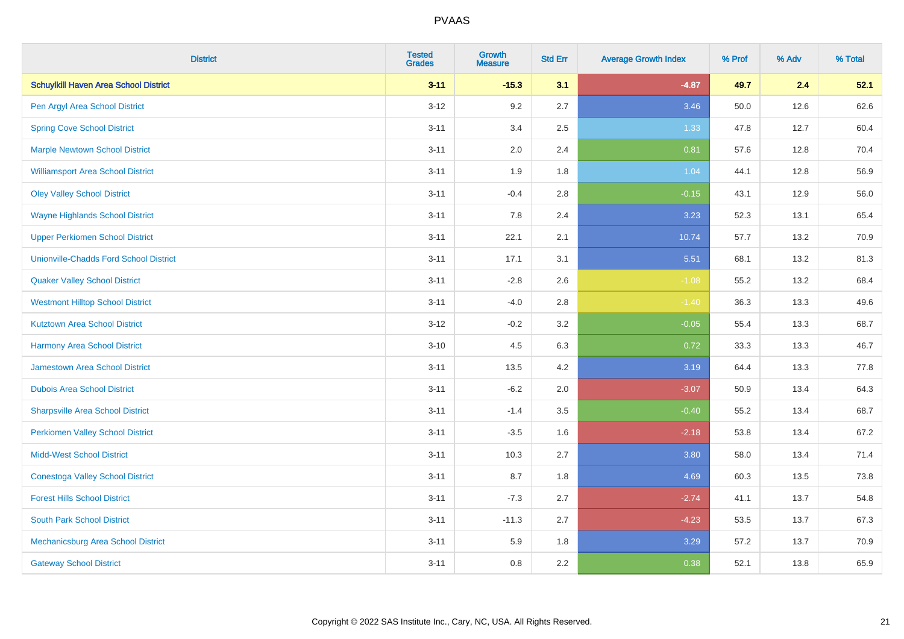| <b>District</b>                               | <b>Tested</b><br><b>Grades</b> | Growth<br><b>Measure</b> | <b>Std Err</b> | <b>Average Growth Index</b> | % Prof | % Adv | % Total |
|-----------------------------------------------|--------------------------------|--------------------------|----------------|-----------------------------|--------|-------|---------|
| <b>Schuylkill Haven Area School District</b>  | $3 - 11$                       | $-15.3$                  | 3.1            | $-4.87$                     | 49.7   | 2.4   | 52.1    |
| Pen Argyl Area School District                | $3 - 12$                       | 9.2                      | 2.7            | 3.46                        | 50.0   | 12.6  | 62.6    |
| <b>Spring Cove School District</b>            | $3 - 11$                       | 3.4                      | 2.5            | 1.33                        | 47.8   | 12.7  | 60.4    |
| <b>Marple Newtown School District</b>         | $3 - 11$                       | 2.0                      | 2.4            | 0.81                        | 57.6   | 12.8  | 70.4    |
| <b>Williamsport Area School District</b>      | $3 - 11$                       | 1.9                      | 1.8            | 1.04                        | 44.1   | 12.8  | 56.9    |
| <b>Oley Valley School District</b>            | $3 - 11$                       | $-0.4$                   | 2.8            | $-0.15$                     | 43.1   | 12.9  | 56.0    |
| <b>Wayne Highlands School District</b>        | $3 - 11$                       | 7.8                      | 2.4            | 3.23                        | 52.3   | 13.1  | 65.4    |
| <b>Upper Perkiomen School District</b>        | $3 - 11$                       | 22.1                     | 2.1            | 10.74                       | 57.7   | 13.2  | 70.9    |
| <b>Unionville-Chadds Ford School District</b> | $3 - 11$                       | 17.1                     | 3.1            | 5.51                        | 68.1   | 13.2  | 81.3    |
| <b>Quaker Valley School District</b>          | $3 - 11$                       | $-2.8$                   | 2.6            | $-1.08$                     | 55.2   | 13.2  | 68.4    |
| <b>Westmont Hilltop School District</b>       | $3 - 11$                       | $-4.0$                   | 2.8            | $-1.40$                     | 36.3   | 13.3  | 49.6    |
| <b>Kutztown Area School District</b>          | $3 - 12$                       | $-0.2$                   | 3.2            | $-0.05$                     | 55.4   | 13.3  | 68.7    |
| <b>Harmony Area School District</b>           | $3 - 10$                       | 4.5                      | 6.3            | 0.72                        | 33.3   | 13.3  | 46.7    |
| <b>Jamestown Area School District</b>         | $3 - 11$                       | 13.5                     | 4.2            | 3.19                        | 64.4   | 13.3  | 77.8    |
| <b>Dubois Area School District</b>            | $3 - 11$                       | $-6.2$                   | 2.0            | $-3.07$                     | 50.9   | 13.4  | 64.3    |
| <b>Sharpsville Area School District</b>       | $3 - 11$                       | $-1.4$                   | 3.5            | $-0.40$                     | 55.2   | 13.4  | 68.7    |
| <b>Perkiomen Valley School District</b>       | $3 - 11$                       | $-3.5$                   | 1.6            | $-2.18$                     | 53.8   | 13.4  | 67.2    |
| <b>Midd-West School District</b>              | $3 - 11$                       | 10.3                     | 2.7            | 3.80                        | 58.0   | 13.4  | 71.4    |
| <b>Conestoga Valley School District</b>       | $3 - 11$                       | 8.7                      | 1.8            | 4.69                        | 60.3   | 13.5  | 73.8    |
| <b>Forest Hills School District</b>           | $3 - 11$                       | $-7.3$                   | 2.7            | $-2.74$                     | 41.1   | 13.7  | 54.8    |
| <b>South Park School District</b>             | $3 - 11$                       | $-11.3$                  | 2.7            | $-4.23$                     | 53.5   | 13.7  | 67.3    |
| Mechanicsburg Area School District            | $3 - 11$                       | 5.9                      | 1.8            | 3.29                        | 57.2   | 13.7  | 70.9    |
| <b>Gateway School District</b>                | $3 - 11$                       | 0.8                      | 2.2            | 0.38                        | 52.1   | 13.8  | 65.9    |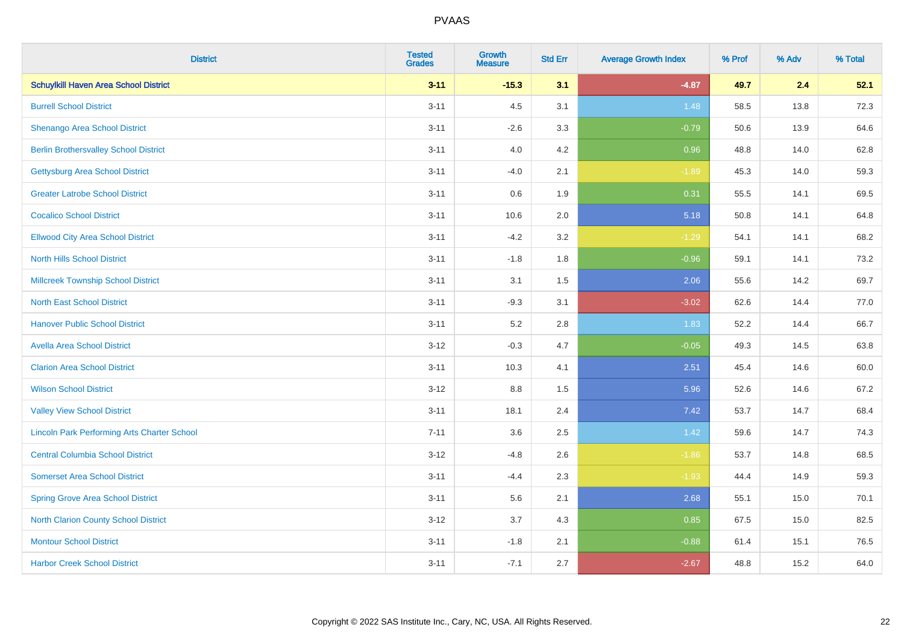| <b>District</b>                                    | <b>Tested</b><br><b>Grades</b> | <b>Growth</b><br><b>Measure</b> | <b>Std Err</b> | <b>Average Growth Index</b> | % Prof | % Adv | % Total |
|----------------------------------------------------|--------------------------------|---------------------------------|----------------|-----------------------------|--------|-------|---------|
| <b>Schuylkill Haven Area School District</b>       | $3 - 11$                       | $-15.3$                         | 3.1            | $-4.87$                     | 49.7   | 2.4   | 52.1    |
| <b>Burrell School District</b>                     | $3 - 11$                       | 4.5                             | 3.1            | 1.48                        | 58.5   | 13.8  | 72.3    |
| Shenango Area School District                      | $3 - 11$                       | $-2.6$                          | 3.3            | $-0.79$                     | 50.6   | 13.9  | 64.6    |
| <b>Berlin Brothersvalley School District</b>       | $3 - 11$                       | 4.0                             | 4.2            | 0.96                        | 48.8   | 14.0  | 62.8    |
| <b>Gettysburg Area School District</b>             | $3 - 11$                       | $-4.0$                          | 2.1            | $-1.89$                     | 45.3   | 14.0  | 59.3    |
| <b>Greater Latrobe School District</b>             | $3 - 11$                       | 0.6                             | 1.9            | 0.31                        | 55.5   | 14.1  | 69.5    |
| <b>Cocalico School District</b>                    | $3 - 11$                       | 10.6                            | 2.0            | 5.18                        | 50.8   | 14.1  | 64.8    |
| <b>Ellwood City Area School District</b>           | $3 - 11$                       | $-4.2$                          | 3.2            | $-1.29$                     | 54.1   | 14.1  | 68.2    |
| <b>North Hills School District</b>                 | $3 - 11$                       | $-1.8$                          | 1.8            | $-0.96$                     | 59.1   | 14.1  | 73.2    |
| <b>Millcreek Township School District</b>          | $3 - 11$                       | 3.1                             | 1.5            | 2.06                        | 55.6   | 14.2  | 69.7    |
| <b>North East School District</b>                  | $3 - 11$                       | $-9.3$                          | 3.1            | $-3.02$                     | 62.6   | 14.4  | 77.0    |
| <b>Hanover Public School District</b>              | $3 - 11$                       | 5.2                             | 2.8            | 1.83                        | 52.2   | 14.4  | 66.7    |
| <b>Avella Area School District</b>                 | $3 - 12$                       | $-0.3$                          | 4.7            | $-0.05$                     | 49.3   | 14.5  | 63.8    |
| <b>Clarion Area School District</b>                | $3 - 11$                       | 10.3                            | 4.1            | 2.51                        | 45.4   | 14.6  | 60.0    |
| <b>Wilson School District</b>                      | $3 - 12$                       | 8.8                             | 1.5            | 5.96                        | 52.6   | 14.6  | 67.2    |
| <b>Valley View School District</b>                 | $3 - 11$                       | 18.1                            | 2.4            | 7.42                        | 53.7   | 14.7  | 68.4    |
| <b>Lincoln Park Performing Arts Charter School</b> | $7 - 11$                       | 3.6                             | 2.5            | 1.42                        | 59.6   | 14.7  | 74.3    |
| <b>Central Columbia School District</b>            | $3 - 12$                       | $-4.8$                          | 2.6            | $-1.86$                     | 53.7   | 14.8  | 68.5    |
| <b>Somerset Area School District</b>               | $3 - 11$                       | $-4.4$                          | 2.3            | $-1.93$                     | 44.4   | 14.9  | 59.3    |
| <b>Spring Grove Area School District</b>           | $3 - 11$                       | 5.6                             | 2.1            | 2.68                        | 55.1   | 15.0  | 70.1    |
| <b>North Clarion County School District</b>        | $3-12$                         | 3.7                             | 4.3            | 0.85                        | 67.5   | 15.0  | 82.5    |
| <b>Montour School District</b>                     | $3 - 11$                       | $-1.8$                          | 2.1            | $-0.88$                     | 61.4   | 15.1  | 76.5    |
| <b>Harbor Creek School District</b>                | $3 - 11$                       | $-7.1$                          | 2.7            | $-2.67$                     | 48.8   | 15.2  | 64.0    |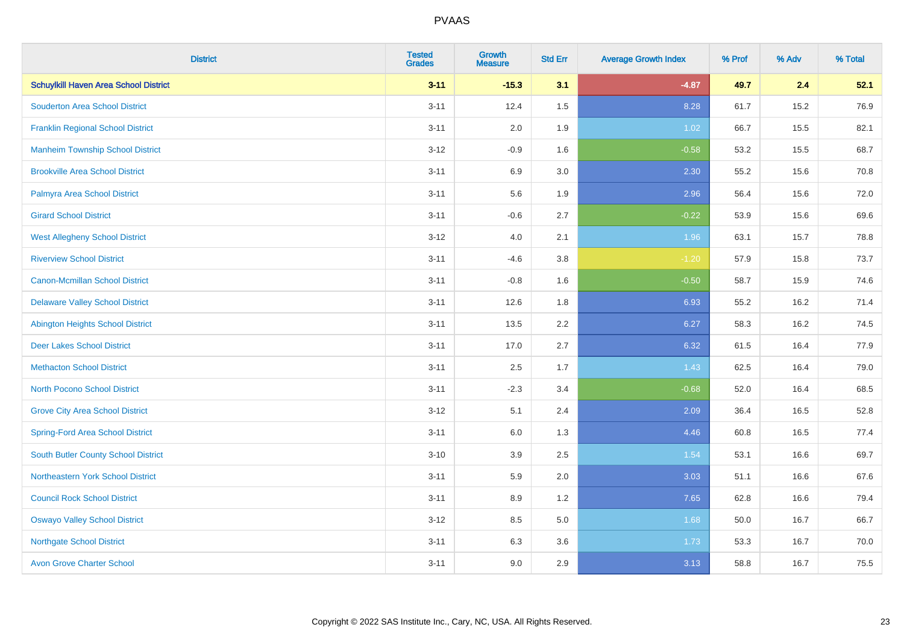| <b>District</b>                              | <b>Tested</b><br><b>Grades</b> | <b>Growth</b><br><b>Measure</b> | <b>Std Err</b> | <b>Average Growth Index</b> | % Prof | % Adv | % Total |
|----------------------------------------------|--------------------------------|---------------------------------|----------------|-----------------------------|--------|-------|---------|
| <b>Schuylkill Haven Area School District</b> | $3 - 11$                       | $-15.3$                         | 3.1            | $-4.87$                     | 49.7   | 2.4   | 52.1    |
| <b>Souderton Area School District</b>        | $3 - 11$                       | 12.4                            | 1.5            | 8.28                        | 61.7   | 15.2  | 76.9    |
| <b>Franklin Regional School District</b>     | $3 - 11$                       | 2.0                             | 1.9            | 1.02                        | 66.7   | 15.5  | 82.1    |
| <b>Manheim Township School District</b>      | $3 - 12$                       | $-0.9$                          | 1.6            | $-0.58$                     | 53.2   | 15.5  | 68.7    |
| <b>Brookville Area School District</b>       | $3 - 11$                       | 6.9                             | 3.0            | 2.30                        | 55.2   | 15.6  | 70.8    |
| Palmyra Area School District                 | $3 - 11$                       | 5.6                             | 1.9            | 2.96                        | 56.4   | 15.6  | 72.0    |
| <b>Girard School District</b>                | $3 - 11$                       | $-0.6$                          | 2.7            | $-0.22$                     | 53.9   | 15.6  | 69.6    |
| <b>West Allegheny School District</b>        | $3 - 12$                       | 4.0                             | 2.1            | 1.96                        | 63.1   | 15.7  | 78.8    |
| <b>Riverview School District</b>             | $3 - 11$                       | $-4.6$                          | 3.8            | $-1.20$                     | 57.9   | 15.8  | 73.7    |
| <b>Canon-Mcmillan School District</b>        | $3 - 11$                       | $-0.8$                          | 1.6            | $-0.50$                     | 58.7   | 15.9  | 74.6    |
| <b>Delaware Valley School District</b>       | $3 - 11$                       | 12.6                            | 1.8            | 6.93                        | 55.2   | 16.2  | 71.4    |
| <b>Abington Heights School District</b>      | $3 - 11$                       | 13.5                            | 2.2            | 6.27                        | 58.3   | 16.2  | 74.5    |
| <b>Deer Lakes School District</b>            | $3 - 11$                       | 17.0                            | 2.7            | 6.32                        | 61.5   | 16.4  | 77.9    |
| <b>Methacton School District</b>             | $3 - 11$                       | 2.5                             | 1.7            | 1.43                        | 62.5   | 16.4  | 79.0    |
| <b>North Pocono School District</b>          | $3 - 11$                       | $-2.3$                          | 3.4            | $-0.68$                     | 52.0   | 16.4  | 68.5    |
| <b>Grove City Area School District</b>       | $3 - 12$                       | 5.1                             | 2.4            | 2.09                        | 36.4   | 16.5  | 52.8    |
| <b>Spring-Ford Area School District</b>      | $3 - 11$                       | 6.0                             | 1.3            | 4.46                        | 60.8   | 16.5  | 77.4    |
| <b>South Butler County School District</b>   | $3 - 10$                       | 3.9                             | 2.5            | 1.54                        | 53.1   | 16.6  | 69.7    |
| Northeastern York School District            | $3 - 11$                       | 5.9                             | 2.0            | 3.03                        | 51.1   | 16.6  | 67.6    |
| <b>Council Rock School District</b>          | $3 - 11$                       | 8.9                             | 1.2            | 7.65                        | 62.8   | 16.6  | 79.4    |
| <b>Oswayo Valley School District</b>         | $3 - 12$                       | 8.5                             | 5.0            | 1.68                        | 50.0   | 16.7  | 66.7    |
| <b>Northgate School District</b>             | $3 - 11$                       | 6.3                             | 3.6            | 1.73                        | 53.3   | 16.7  | 70.0    |
| <b>Avon Grove Charter School</b>             | $3 - 11$                       | 9.0                             | 2.9            | 3.13                        | 58.8   | 16.7  | 75.5    |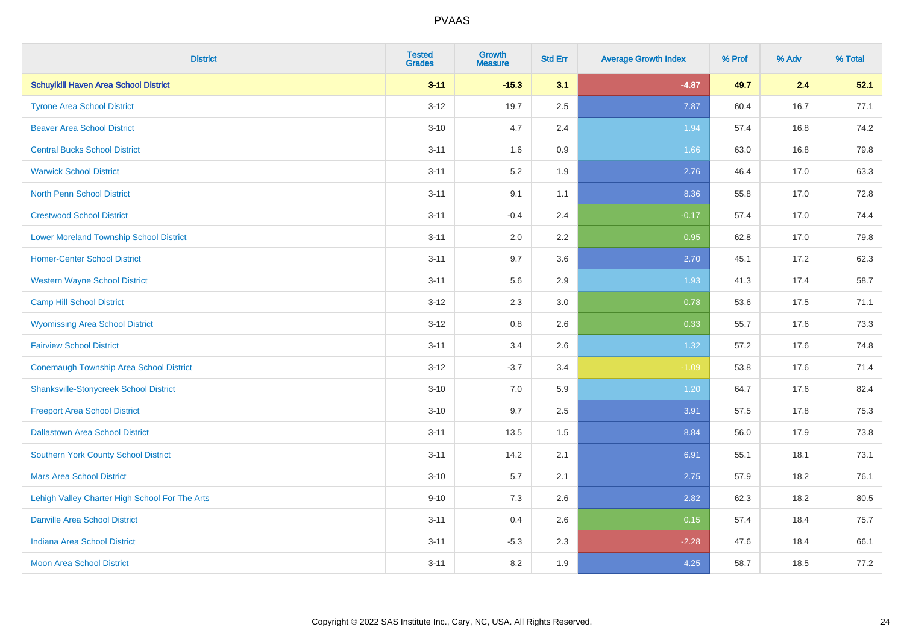| <b>District</b>                                | <b>Tested</b><br><b>Grades</b> | <b>Growth</b><br><b>Measure</b> | <b>Std Err</b> | <b>Average Growth Index</b> | % Prof | % Adv | % Total |
|------------------------------------------------|--------------------------------|---------------------------------|----------------|-----------------------------|--------|-------|---------|
| <b>Schuylkill Haven Area School District</b>   | $3 - 11$                       | $-15.3$                         | 3.1            | $-4.87$                     | 49.7   | 2.4   | 52.1    |
| <b>Tyrone Area School District</b>             | $3 - 12$                       | 19.7                            | 2.5            | 7.87                        | 60.4   | 16.7  | 77.1    |
| <b>Beaver Area School District</b>             | $3 - 10$                       | 4.7                             | 2.4            | 1.94                        | 57.4   | 16.8  | 74.2    |
| <b>Central Bucks School District</b>           | $3 - 11$                       | 1.6                             | 0.9            | 1.66                        | 63.0   | 16.8  | 79.8    |
| <b>Warwick School District</b>                 | $3 - 11$                       | 5.2                             | 1.9            | 2.76                        | 46.4   | 17.0  | 63.3    |
| <b>North Penn School District</b>              | $3 - 11$                       | 9.1                             | 1.1            | 8.36                        | 55.8   | 17.0  | 72.8    |
| <b>Crestwood School District</b>               | $3 - 11$                       | $-0.4$                          | 2.4            | $-0.17$                     | 57.4   | 17.0  | 74.4    |
| <b>Lower Moreland Township School District</b> | $3 - 11$                       | 2.0                             | 2.2            | 0.95                        | 62.8   | 17.0  | 79.8    |
| <b>Homer-Center School District</b>            | $3 - 11$                       | 9.7                             | 3.6            | 2.70                        | 45.1   | 17.2  | 62.3    |
| <b>Western Wayne School District</b>           | $3 - 11$                       | 5.6                             | 2.9            | 1.93                        | 41.3   | 17.4  | 58.7    |
| <b>Camp Hill School District</b>               | $3 - 12$                       | 2.3                             | 3.0            | 0.78                        | 53.6   | 17.5  | 71.1    |
| <b>Wyomissing Area School District</b>         | $3 - 12$                       | 0.8                             | 2.6            | 0.33                        | 55.7   | 17.6  | 73.3    |
| <b>Fairview School District</b>                | $3 - 11$                       | 3.4                             | 2.6            | 1.32                        | 57.2   | 17.6  | 74.8    |
| <b>Conemaugh Township Area School District</b> | $3 - 12$                       | $-3.7$                          | 3.4            | $-1.09$                     | 53.8   | 17.6  | 71.4    |
| <b>Shanksville-Stonycreek School District</b>  | $3 - 10$                       | 7.0                             | 5.9            | 1.20                        | 64.7   | 17.6  | 82.4    |
| <b>Freeport Area School District</b>           | $3 - 10$                       | 9.7                             | 2.5            | 3.91                        | 57.5   | 17.8  | 75.3    |
| <b>Dallastown Area School District</b>         | $3 - 11$                       | 13.5                            | 1.5            | 8.84                        | 56.0   | 17.9  | 73.8    |
| <b>Southern York County School District</b>    | $3 - 11$                       | 14.2                            | 2.1            | 6.91                        | 55.1   | 18.1  | 73.1    |
| <b>Mars Area School District</b>               | $3 - 10$                       | 5.7                             | 2.1            | 2.75                        | 57.9   | 18.2  | 76.1    |
| Lehigh Valley Charter High School For The Arts | $9 - 10$                       | 7.3                             | 2.6            | 2.82                        | 62.3   | 18.2  | 80.5    |
| <b>Danville Area School District</b>           | $3 - 11$                       | 0.4                             | 2.6            | 0.15                        | 57.4   | 18.4  | 75.7    |
| <b>Indiana Area School District</b>            | $3 - 11$                       | $-5.3$                          | 2.3            | $-2.28$                     | 47.6   | 18.4  | 66.1    |
| <b>Moon Area School District</b>               | $3 - 11$                       | 8.2                             | 1.9            | 4.25                        | 58.7   | 18.5  | 77.2    |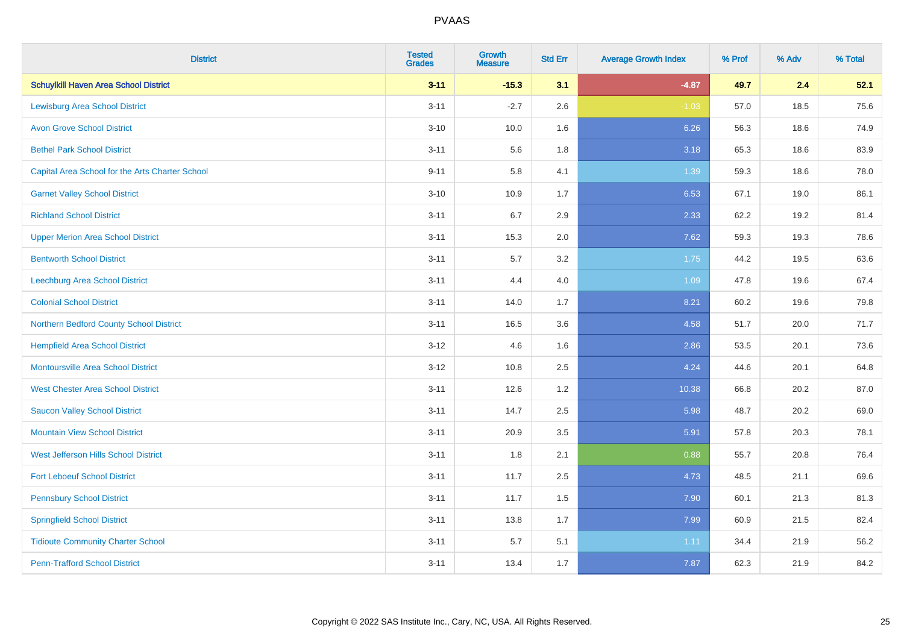| <b>District</b>                                 | <b>Tested</b><br><b>Grades</b> | <b>Growth</b><br><b>Measure</b> | <b>Std Err</b> | <b>Average Growth Index</b> | % Prof | % Adv | % Total |
|-------------------------------------------------|--------------------------------|---------------------------------|----------------|-----------------------------|--------|-------|---------|
| <b>Schuylkill Haven Area School District</b>    | $3 - 11$                       | $-15.3$                         | 3.1            | $-4.87$                     | 49.7   | 2.4   | 52.1    |
| <b>Lewisburg Area School District</b>           | $3 - 11$                       | $-2.7$                          | 2.6            | $-1.03$                     | 57.0   | 18.5  | 75.6    |
| <b>Avon Grove School District</b>               | $3 - 10$                       | 10.0                            | 1.6            | 6.26                        | 56.3   | 18.6  | 74.9    |
| <b>Bethel Park School District</b>              | $3 - 11$                       | 5.6                             | 1.8            | 3.18                        | 65.3   | 18.6  | 83.9    |
| Capital Area School for the Arts Charter School | $9 - 11$                       | 5.8                             | 4.1            | 1.39                        | 59.3   | 18.6  | 78.0    |
| <b>Garnet Valley School District</b>            | $3 - 10$                       | 10.9                            | 1.7            | 6.53                        | 67.1   | 19.0  | 86.1    |
| <b>Richland School District</b>                 | $3 - 11$                       | 6.7                             | 2.9            | 2.33                        | 62.2   | 19.2  | 81.4    |
| <b>Upper Merion Area School District</b>        | $3 - 11$                       | 15.3                            | 2.0            | 7.62                        | 59.3   | 19.3  | 78.6    |
| <b>Bentworth School District</b>                | $3 - 11$                       | 5.7                             | 3.2            | 1.75                        | 44.2   | 19.5  | 63.6    |
| Leechburg Area School District                  | $3 - 11$                       | 4.4                             | 4.0            | 1.09                        | 47.8   | 19.6  | 67.4    |
| <b>Colonial School District</b>                 | $3 - 11$                       | 14.0                            | 1.7            | 8.21                        | 60.2   | 19.6  | 79.8    |
| Northern Bedford County School District         | $3 - 11$                       | 16.5                            | 3.6            | 4.58                        | 51.7   | 20.0  | 71.7    |
| <b>Hempfield Area School District</b>           | $3 - 12$                       | 4.6                             | 1.6            | 2.86                        | 53.5   | 20.1  | 73.6    |
| <b>Montoursville Area School District</b>       | $3 - 12$                       | 10.8                            | 2.5            | 4.24                        | 44.6   | 20.1  | 64.8    |
| <b>West Chester Area School District</b>        | $3 - 11$                       | 12.6                            | 1.2            | 10.38                       | 66.8   | 20.2  | 87.0    |
| <b>Saucon Valley School District</b>            | $3 - 11$                       | 14.7                            | 2.5            | 5.98                        | 48.7   | 20.2  | 69.0    |
| <b>Mountain View School District</b>            | $3 - 11$                       | 20.9                            | 3.5            | 5.91                        | 57.8   | 20.3  | 78.1    |
| West Jefferson Hills School District            | $3 - 11$                       | 1.8                             | 2.1            | 0.88                        | 55.7   | 20.8  | 76.4    |
| <b>Fort Leboeuf School District</b>             | $3 - 11$                       | 11.7                            | 2.5            | 4.73                        | 48.5   | 21.1  | 69.6    |
| <b>Pennsbury School District</b>                | $3 - 11$                       | 11.7                            | 1.5            | 7.90                        | 60.1   | 21.3  | 81.3    |
| <b>Springfield School District</b>              | $3 - 11$                       | 13.8                            | 1.7            | 7.99                        | 60.9   | 21.5  | 82.4    |
| <b>Tidioute Community Charter School</b>        | $3 - 11$                       | 5.7                             | 5.1            | 1.11                        | 34.4   | 21.9  | 56.2    |
| <b>Penn-Trafford School District</b>            | $3 - 11$                       | 13.4                            | 1.7            | 7.87                        | 62.3   | 21.9  | 84.2    |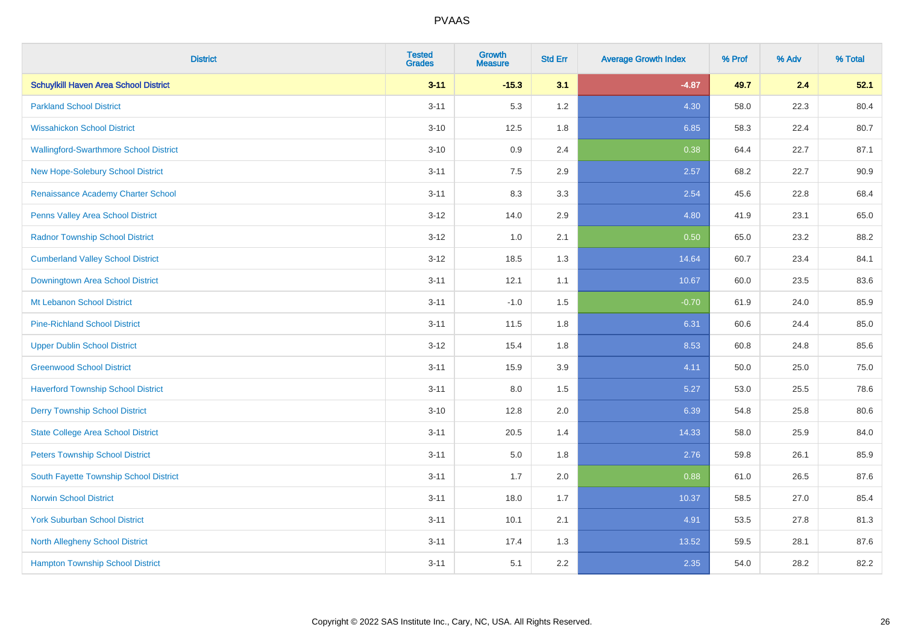| <b>District</b>                               | <b>Tested</b><br><b>Grades</b> | <b>Growth</b><br><b>Measure</b> | <b>Std Err</b> | <b>Average Growth Index</b> | % Prof | % Adv | % Total |
|-----------------------------------------------|--------------------------------|---------------------------------|----------------|-----------------------------|--------|-------|---------|
| <b>Schuylkill Haven Area School District</b>  | $3 - 11$                       | $-15.3$                         | 3.1            | $-4.87$                     | 49.7   | 2.4   | 52.1    |
| <b>Parkland School District</b>               | $3 - 11$                       | 5.3                             | 1.2            | 4.30                        | 58.0   | 22.3  | 80.4    |
| <b>Wissahickon School District</b>            | $3 - 10$                       | 12.5                            | 1.8            | 6.85                        | 58.3   | 22.4  | 80.7    |
| <b>Wallingford-Swarthmore School District</b> | $3 - 10$                       | 0.9                             | 2.4            | 0.38                        | 64.4   | 22.7  | 87.1    |
| <b>New Hope-Solebury School District</b>      | $3 - 11$                       | 7.5                             | 2.9            | 2.57                        | 68.2   | 22.7  | 90.9    |
| Renaissance Academy Charter School            | $3 - 11$                       | 8.3                             | 3.3            | 2.54                        | 45.6   | 22.8  | 68.4    |
| Penns Valley Area School District             | $3-12$                         | 14.0                            | 2.9            | 4.80                        | 41.9   | 23.1  | 65.0    |
| <b>Radnor Township School District</b>        | $3 - 12$                       | 1.0                             | 2.1            | 0.50                        | 65.0   | 23.2  | 88.2    |
| <b>Cumberland Valley School District</b>      | $3 - 12$                       | 18.5                            | 1.3            | 14.64                       | 60.7   | 23.4  | 84.1    |
| Downingtown Area School District              | $3 - 11$                       | 12.1                            | 1.1            | 10.67                       | 60.0   | 23.5  | 83.6    |
| Mt Lebanon School District                    | $3 - 11$                       | $-1.0$                          | 1.5            | $-0.70$                     | 61.9   | 24.0  | 85.9    |
| <b>Pine-Richland School District</b>          | $3 - 11$                       | 11.5                            | 1.8            | 6.31                        | 60.6   | 24.4  | 85.0    |
| <b>Upper Dublin School District</b>           | $3 - 12$                       | 15.4                            | 1.8            | 8.53                        | 60.8   | 24.8  | 85.6    |
| <b>Greenwood School District</b>              | $3 - 11$                       | 15.9                            | 3.9            | 4.11                        | 50.0   | 25.0  | 75.0    |
| <b>Haverford Township School District</b>     | $3 - 11$                       | 8.0                             | 1.5            | 5.27                        | 53.0   | 25.5  | 78.6    |
| <b>Derry Township School District</b>         | $3 - 10$                       | 12.8                            | 2.0            | 6.39                        | 54.8   | 25.8  | 80.6    |
| <b>State College Area School District</b>     | $3 - 11$                       | 20.5                            | 1.4            | 14.33                       | 58.0   | 25.9  | 84.0    |
| <b>Peters Township School District</b>        | $3 - 11$                       | 5.0                             | 1.8            | 2.76                        | 59.8   | 26.1  | 85.9    |
| South Fayette Township School District        | $3 - 11$                       | 1.7                             | 2.0            | 0.88                        | 61.0   | 26.5  | 87.6    |
| <b>Norwin School District</b>                 | $3 - 11$                       | 18.0                            | 1.7            | 10.37                       | 58.5   | 27.0  | 85.4    |
| <b>York Suburban School District</b>          | $3 - 11$                       | 10.1                            | 2.1            | 4.91                        | 53.5   | 27.8  | 81.3    |
| North Allegheny School District               | $3 - 11$                       | 17.4                            | 1.3            | 13.52                       | 59.5   | 28.1  | 87.6    |
| <b>Hampton Township School District</b>       | $3 - 11$                       | 5.1                             | 2.2            | 2.35                        | 54.0   | 28.2  | 82.2    |